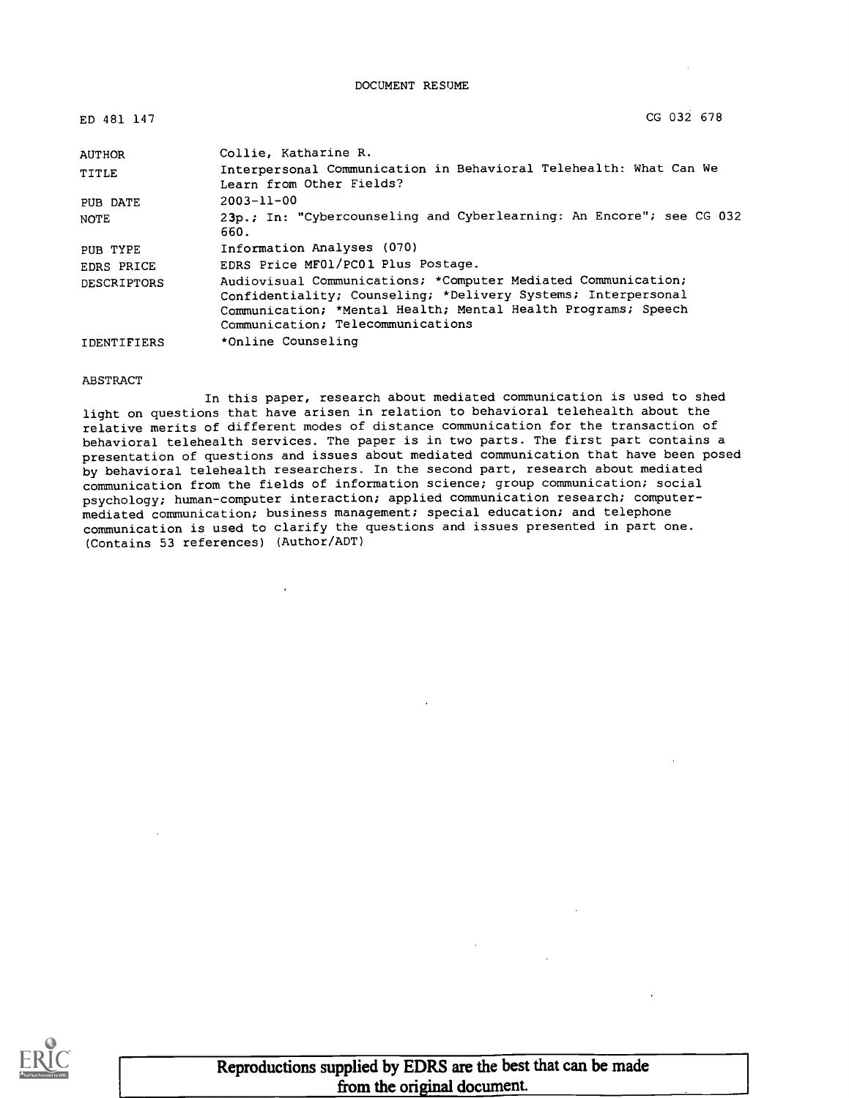DOCUMENT RESUME

| ED 481 147         | CG 032 678                                                                                                                                                                                                                           |
|--------------------|--------------------------------------------------------------------------------------------------------------------------------------------------------------------------------------------------------------------------------------|
| <b>AUTHOR</b>      | Collie, Katharine R.                                                                                                                                                                                                                 |
| TITLE              | Interpersonal Communication in Behavioral Telehealth: What Can We<br>Learn from Other Fields?                                                                                                                                        |
| PUB DATE           | $2003 - 11 - 00$                                                                                                                                                                                                                     |
| NOTE               | 23p.; In: "Cybercounseling and Cyberlearning: An Encore"; see CG 032<br>660.                                                                                                                                                         |
| PUB TYPE           | Information Analyses (070)                                                                                                                                                                                                           |
| EDRS PRICE         | EDRS Price MF01/PC01 Plus Postage.                                                                                                                                                                                                   |
| <b>DESCRIPTORS</b> | Audiovisual Communications; *Computer Mediated Communication;<br>Confidentiality; Counseling; *Delivery Systems; Interpersonal<br>Communication; *Mental Health; Mental Health Programs; Speech<br>Communication; Telecommunications |
| <b>IDENTIFIERS</b> | *Online Counseling                                                                                                                                                                                                                   |

#### ABSTRACT

In this paper, research about mediated communication is used to shed light on questions that have arisen in relation to behavioral telehealth about the relative merits of different modes of distance communication for the transaction of behavioral telehealth services. The paper is in two parts. The first part contains a presentation of questions and issues about mediated communication that have been posed by behavioral telehealth researchers. In the second part, research about mediated communication from the fields of information science; group communication; social psychology; human-computer interaction; applied communication research; computermediated communication; business management; special education; and telephone communication is used to clarify the questions and issues presented in part one. (Contains 53 references) (Author/ADT)

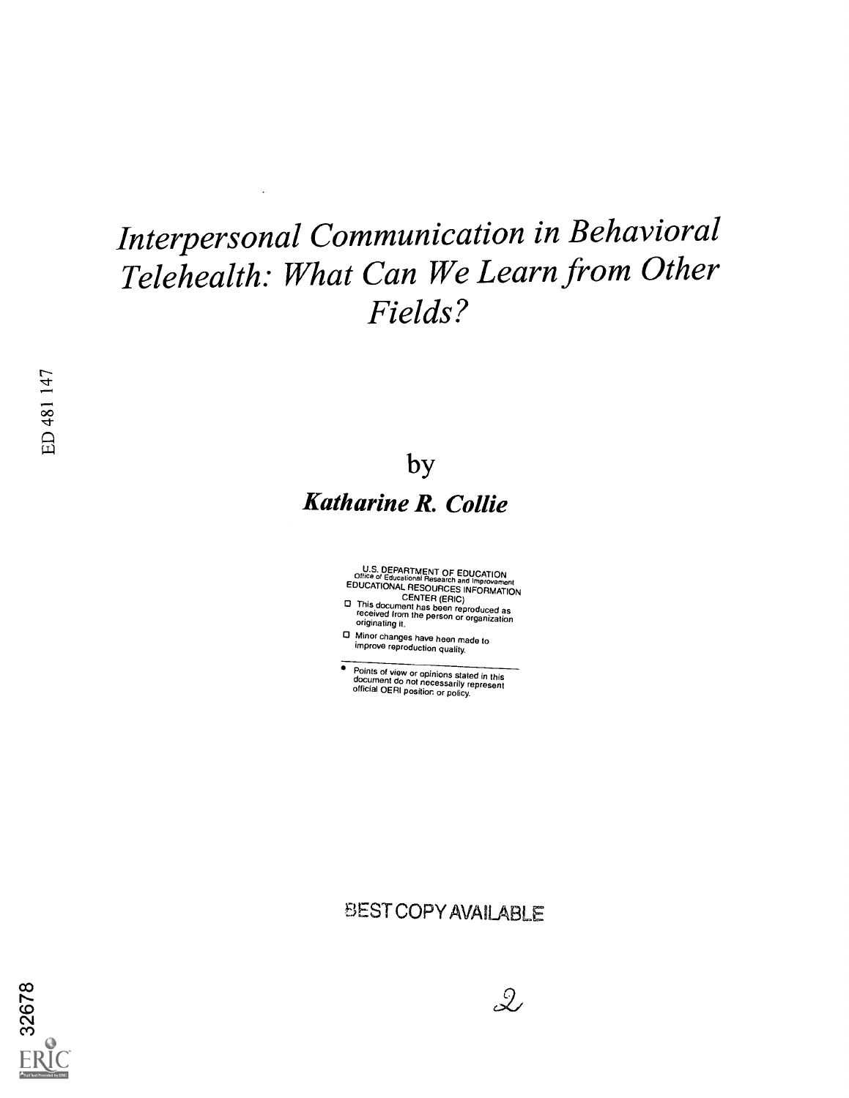## Interpersonal Communication in Behavioral Telehealth: What Can We Learn from Other Fields?

 $\overline{\phantom{a}}$ 

by Katharine R. Collie

Office of Educational Research and Improvement<br>EDUCATIONAL RESOURCES INFORMATION<br>CENTER (ERIC)<br>CENTER (ERIC)<br>This document has been reproduced as<br>received from the person or organization<br>originating it.

O Minor changes have been made to improve reproduction quality.

 $\bullet$ Points of view or opinions stated in this document do not necessarily represent official OERI position or policy.

### BEST COPY AVAILABLE

 $\mathcal{Q}$ 

32678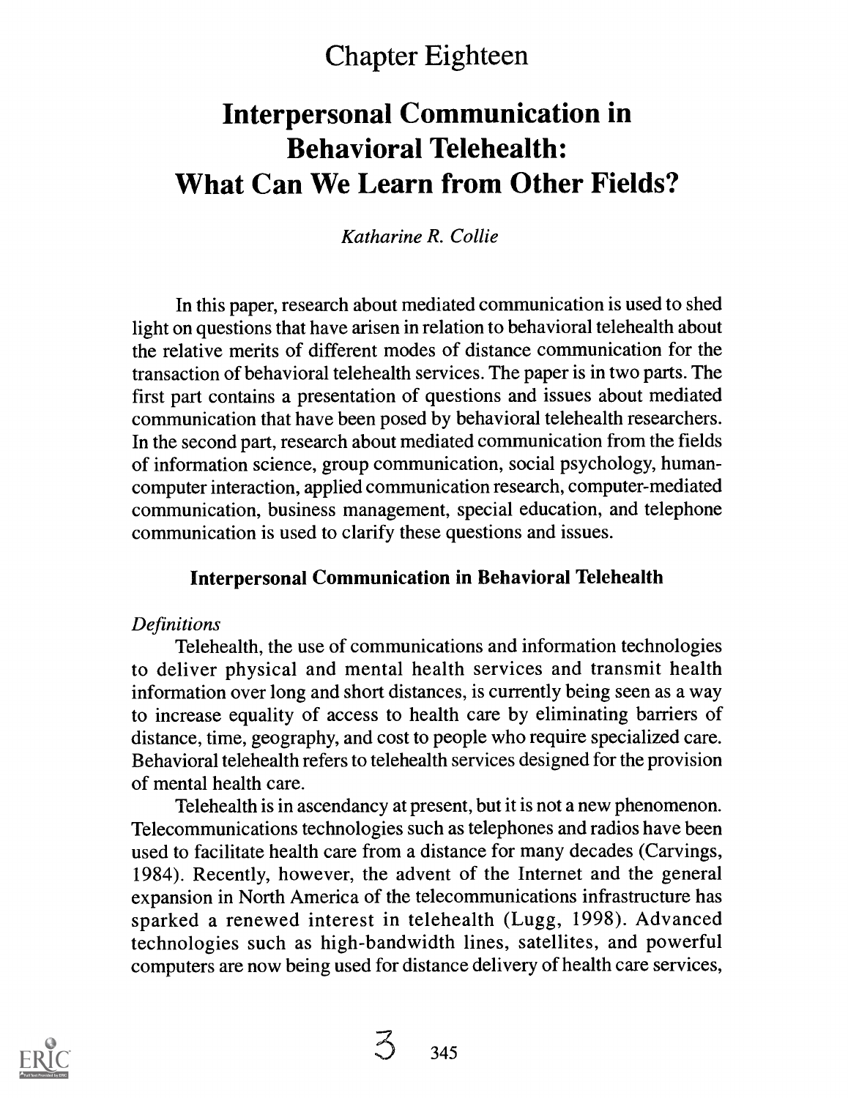### Chapter Eighteen

### Interpersonal Communication in Behavioral Telehealth: What Can We Learn from Other Fields?

Katharine R. Collie

In this paper, research about mediated communication is used to shed light on questions that have arisen in relation to behavioral telehealth about the relative merits of different modes of distance communication for the transaction of behavioral telehealth services. The paper is in two parts. The first part contains a presentation of questions and issues about mediated communication that have been posed by behavioral telehealth researchers. In the second part, research about mediated communication from the fields of information science, group communication, social psychology, humancomputer interaction, applied communication research, computer-mediated communication, business management, special education, and telephone communication is used to clarify these questions and issues.

#### Interpersonal Communication in Behavioral Telehealth

#### **Definitions**

Telehealth, the use of communications and information technologies to deliver physical and mental health services and transmit health information over long and short distances, is currently being seen as a way to increase equality of access to health care by eliminating barriers of distance, time, geography, and cost to people who require specialized care. Behavioral telehealth refers to telehealth services designed for the provision of mental health care.

Telehealth is in ascendancy at present, but it is not a new phenomenon. Telecommunications technologies such as telephones and radios have been used to facilitate health care from a distance for many decades (Carvings, 1984). Recently, however, the advent of the Internet and the general expansion in North America of the telecommunications infrastructure has sparked a renewed interest in telehealth (Lugg, 1998). Advanced technologies such as high-bandwidth lines, satellites, and powerful computers are now being used for distance delivery of health care services,

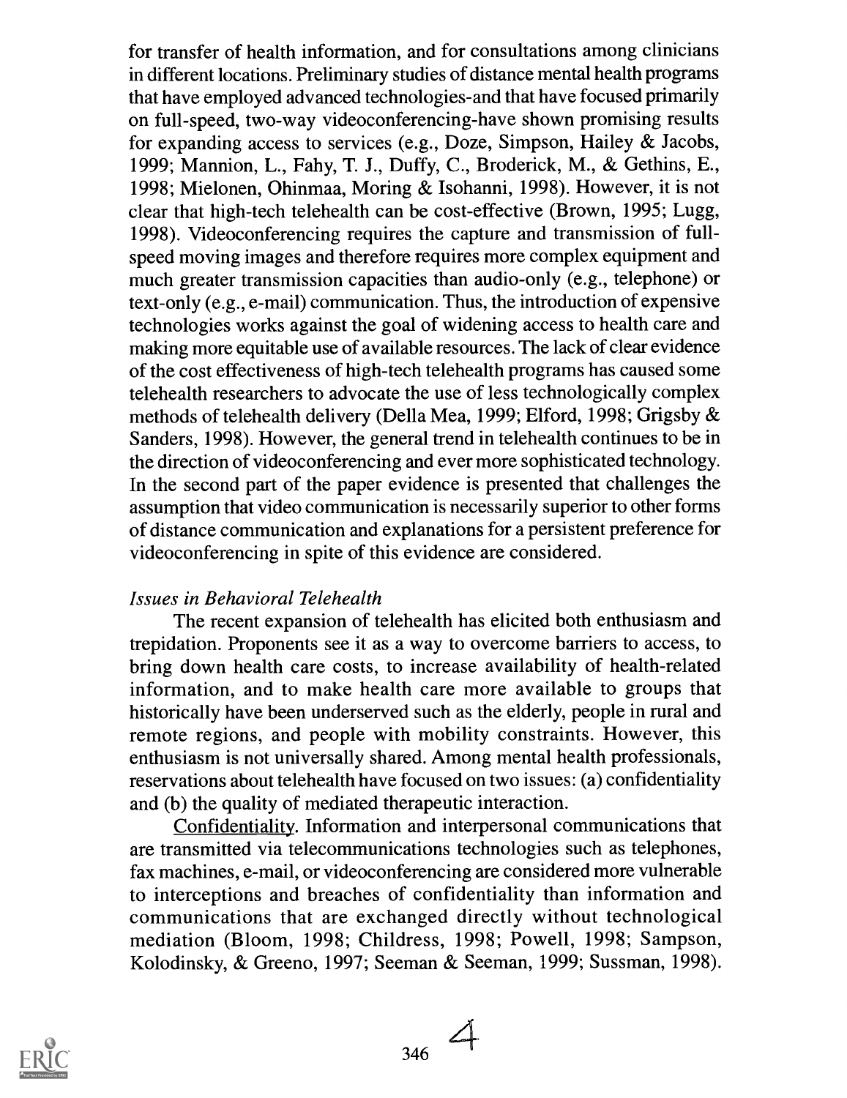for transfer of health information, and for consultations among clinicians in different locations. Preliminary studies of distance mental health programs that have employed advanced technologies-and that have focused primarily on full-speed, two-way videoconferencing-have shown promising results for expanding access to services (e.g., Doze, Simpson, Hailey  $\&$  Jacobs, 1999; Mannion, L., Fahy, T. J., Duffy, C., Broderick, M., & Gethins, E., 1998; Mielonen, Ohinmaa, Moring & Isohanni, 1998). However, it is not clear that high-tech telehealth can be cost-effective (Brown, 1995; Lugg, 1998). Videoconferencing requires the capture and transmission of fullspeed moving images and therefore requires more complex equipment and much greater transmission capacities than audio-only (e.g., telephone) or text-only (e.g., e-mail) communication. Thus, the introduction of expensive technologies works against the goal of widening access to health care and making more equitable use of available resources. The lack of clear evidence of the cost effectiveness of high-tech telehealth programs has caused some telehealth researchers to advocate the use of less technologically complex methods of telehealth delivery (Della Mea, 1999; Elford, 1998; Grigsby & Sanders, 1998). However, the general trend in telehealth continues to be in the direction of videoconferencing and ever more sophisticated technology. In the second part of the paper evidence is presented that challenges the assumption that video communication is necessarily superior to other forms of distance communication and explanations for a persistent preference for videoconferencing in spite of this evidence are considered.

#### Issues in Behavioral Telehealth

The recent expansion of telehealth has elicited both enthusiasm and trepidation. Proponents see it as a way to overcome barriers to access, to bring down health care costs, to increase availability of health-related information, and to make health care more available to groups that historically have been underserved such as the elderly, people in rural and remote regions, and people with mobility constraints. However, this enthusiasm is not universally shared. Among mental health professionals, reservations about telehealth have focused on two issues: (a) confidentiality and (b) the quality of mediated therapeutic interaction.

Confidentiality. Information and interpersonal communications that are transmitted via telecommunications technologies such as telephones, fax machines, e-mail, or videoconferencing are considered more vulnerable to interceptions and breaches of confidentiality than information and communications that are exchanged directly without technological mediation (Bloom, 1998; Childress, 1998; Powell, 1998; Sampson, Kolodinsky, & Greeno, 1997; Seeman & Seeman, 1999; Sussman, 1998).

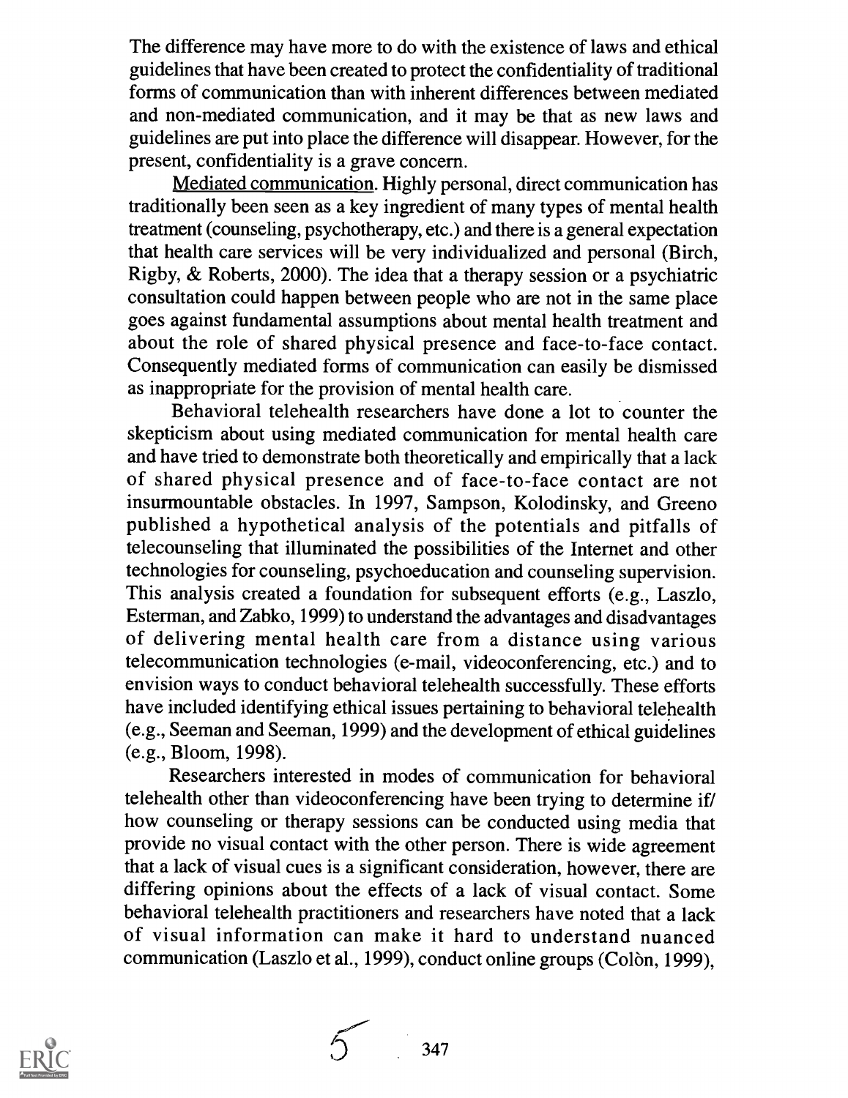The difference may have more to do with the existence of laws and ethical guidelines that have been created to protect the confidentiality of traditional forms of communication than with inherent differences between mediated and non-mediated communication, and it may be that as new laws and guidelines are put into place the difference will disappear. However, for the present, confidentiality is a grave concern.

Mediated communication. Highly personal, direct communication has traditionally been seen as a key ingredient of many types of mental health treatment (counseling, psychotherapy, etc.) and there is a general expectation that health care services will be very individualized and personal (Birch, Rigby, & Roberts, 2000). The idea that a therapy session or a psychiatric consultation could happen between people who are not in the same place goes against fundamental assumptions about mental health treatment and about the role of shared physical presence and face-to-face contact. Consequently mediated forms of communication can easily be dismissed as inappropriate for the provision of mental health care.

Behavioral telehealth researchers have done a lot to counter the skepticism about using mediated communication for mental health care and have tried to demonstrate both theoretically and empirically that a lack of shared physical presence and of face-to-face contact are not insurmountable obstacles. In 1997, Sampson, Kolodinsky, and Greeno published a hypothetical analysis of the potentials and pitfalls of telecounseling that illuminated the possibilities of the Internet and other technologies for counseling, psychoeducation and counseling supervision. This analysis created a foundation for subsequent efforts (e.g., Laszlo, Esterman, and Zabko, 1999) to understand the advantages and disadvantages of delivering mental health care from a distance using various telecommunication technologies (e-mail, videoconferencing, etc.) and to envision ways to conduct behavioral telehealth successfully. These efforts have included identifying ethical issues pertaining to behavioral telehealth (e.g., Seeman and Seeman, 1999) and the development of ethical guidelines (e.g., Bloom, 1998).

Researchers interested in modes of communication for behavioral telehealth other than videoconferencing have been trying to determine if/ how counseling or therapy sessions can be conducted using media that provide no visual contact with the other person. There is wide agreement that a lack of visual cues is a significant consideration, however, there are differing opinions about the effects of a lack of visual contact. Some behavioral telehealth practitioners and researchers have noted that a lack of visual information can make it hard to understand nuanced communication (Laszlo et al., 1999), conduct online groups (Colòn, 1999),



347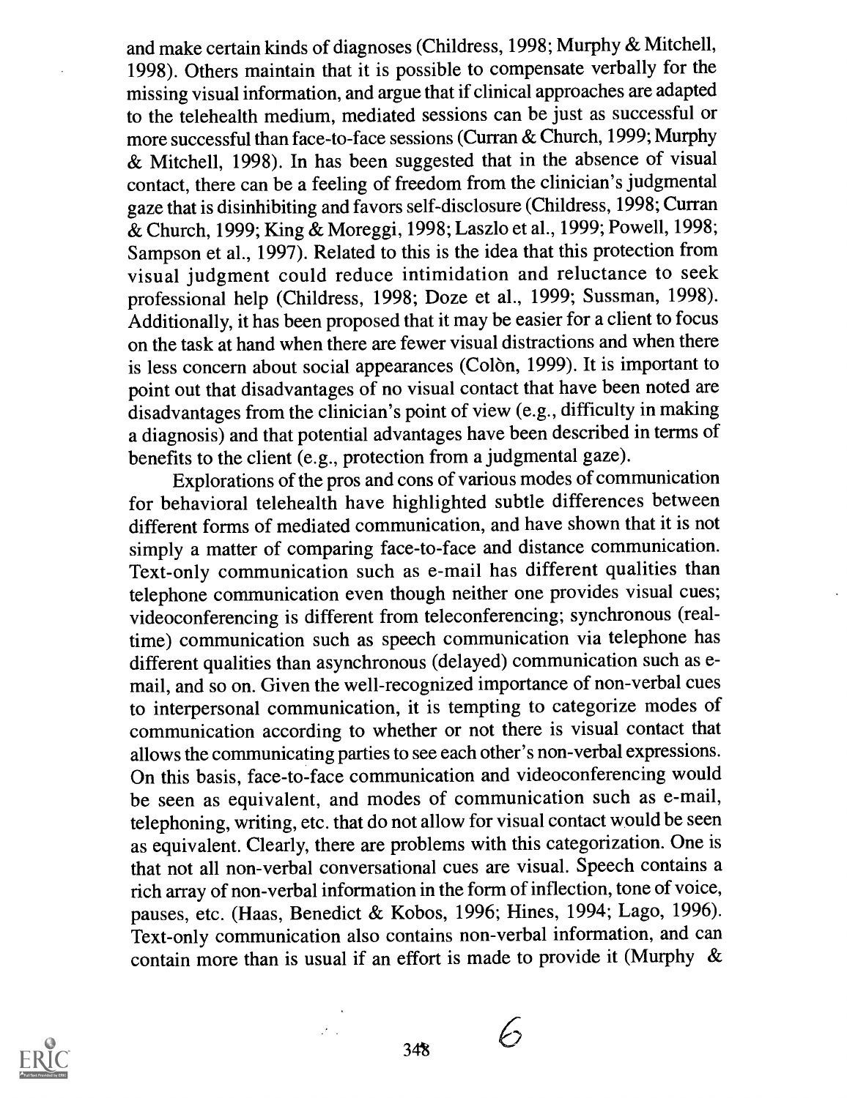and make certain kinds of diagnoses (Childress, 1998; Murphy & Mitchell, 1998). Others maintain that it is possible to compensate verbally for the missing visual information, and argue that if clinical approaches are adapted to the telehealth medium, mediated sessions can be just as successful or more successful than face-to-face sessions (Curran & Church, 1999; Murphy & Mitchell, 1998). In has been suggested that in the absence of visual contact, there can be a feeling of freedom from the clinician's judgmental gaze that is disinhibiting and favors self-disclosure (Childress, 1998; Curran & Church, 1999; King & Moreggi, 1998; Laszlo et al., 1999; Powell, 1998; Sampson et al., 1997). Related to this is the idea that this protection from visual judgment could reduce intimidation and reluctance to seek professional help (Childress, 1998; Doze et al., 1999; Sussman, 1998). Additionally, it has been proposed that it may be easier for a client to focus on the task at hand when there are fewer visual distractions and when there is less concern about social appearances (Colòn, 1999). It is important to point out that disadvantages of no visual contact that have been noted are disadvantages from the clinician's point of view (e.g., difficulty in making a diagnosis) and that potential advantages have been described in terms of benefits to the client (e.g., protection from a judgmental gaze).

Explorations of the pros and cons of various modes of communication for behavioral telehealth have highlighted subtle differences between different forms of mediated communication, and have shown that it is not simply a matter of comparing face-to-face and distance communication. Text-only communication such as e-mail has different qualities than telephone communication even though neither one provides visual cues; videoconferencing is different from teleconferencing; synchronous (realtime) communication such as speech communication via telephone has different qualities than asynchronous (delayed) communication such as email, and so on. Given the well-recognized importance of non-verbal cues to interpersonal communication, it is tempting to categorize modes of communication according to whether or not there is visual contact that allows the communicating parties to see each other's non-verbal expressions. On this basis, face-to-face communication and videoconferencing would be seen as equivalent, and modes of communication such as e-mail, telephoning, writing, etc. that do not allow for visual contact would be seen as equivalent. Clearly, there are problems with this categorization. One is that not all non-verbal conversational cues are visual. Speech contains a rich array of non-verbal information in the form of inflection, tone of voice, pauses, etc. (Haas, Benedict & Kobos, 1996; Hines, 1994; Lago, 1996). Text-only communication also contains non-verbal information, and can contain more than is usual if an effort is made to provide it (Murphy &



 $\mathcal{F}$  .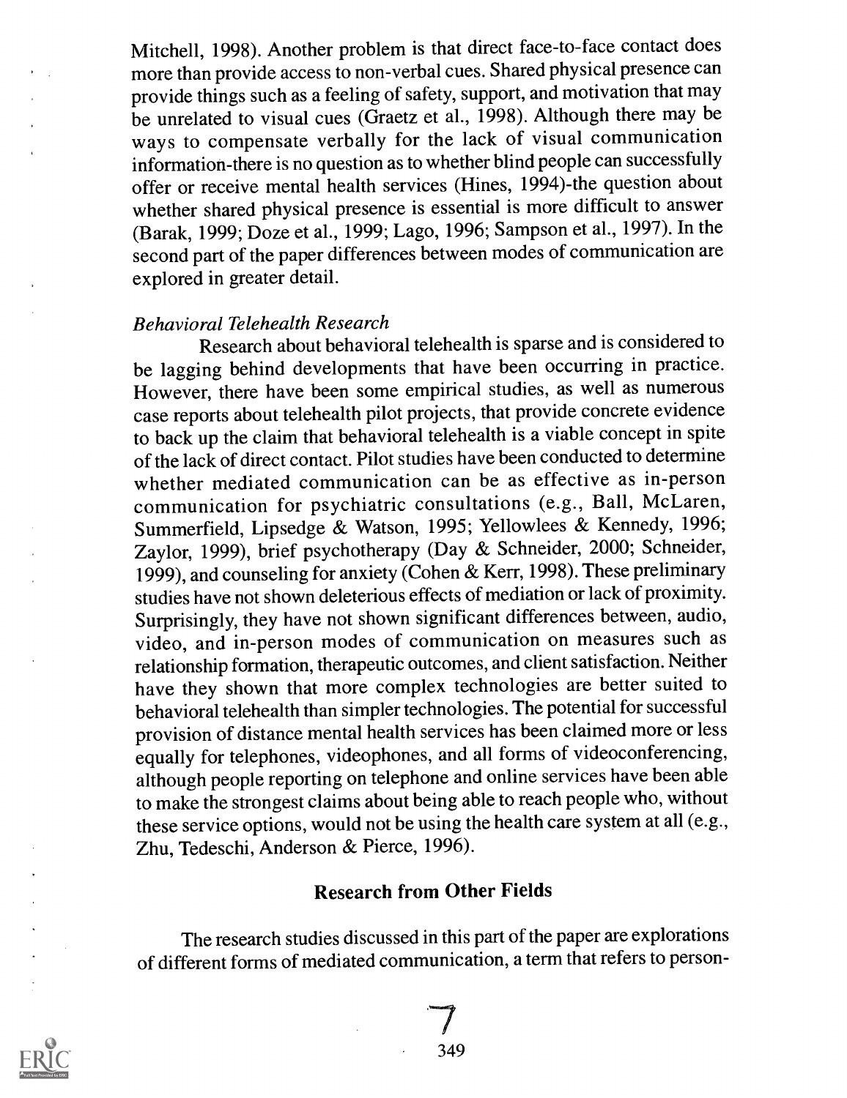Mitchell, 1998). Another problem is that direct face-to-face contact does more than provide access to non-verbal cues. Shared physical presence can provide things such as a feeling of safety, support, and motivation that may be unrelated to visual cues (Graetz et al., 1998). Although there may be ways to compensate verbally for the lack of visual communication information-there is no question as to whether blind people can successfully offer or receive mental health services (Hines, 1994)-the question about whether shared physical presence is essential is more difficult to answer (Barak, 1999; Doze et al., 1999; Lago, 1996; Sampson et al., 1997). In the second part of the paper differences between modes of communication are explored in greater detail.

#### Behavioral Telehealth Research

Research about behavioral telehealth is sparse and is considered to be lagging behind developments that have been occurring in practice. However, there have been some empirical studies, as well as numerous case reports about telehealth pilot projects, that provide concrete evidence to back up the claim that behavioral telehealth is a viable concept in spite of the lack of direct contact. Pilot studies have been conducted to determine whether mediated communication can be as effective as in-person communication for psychiatric consultations (e.g., Ball, McLaren, Summerfield, Lipsedge & Watson, 1995; Yellowlees & Kennedy, 1996; Zaylor, 1999), brief psychotherapy (Day & Schneider, 2000; Schneider, 1999), and counseling for anxiety (Cohen & Kerr, 1998). These preliminary studies have not shown deleterious effects of mediation or lack of proximity. Surprisingly, they have not shown significant differences between, audio, video, and in-person modes of communication on measures such as relationship formation, therapeutic outcomes, and client satisfaction. Neither have they shown that more complex technologies are better suited to behavioral telehealth than simpler technologies. The potential for successful provision of distance mental health services has been claimed more or less equally for telephones, videophones, and all forms of videoconferencing, although people reporting on telephone and online services have been able to make the strongest claims about being able to reach people who, without these service options, would not be using the health care system at all (e.g., Zhu, Tedeschi, Anderson & Pierce, 1996).

#### Research from Other Fields

The research studies discussed in this part of the paper are explorations of different forms of mediated communication, a termthat refers to person-



349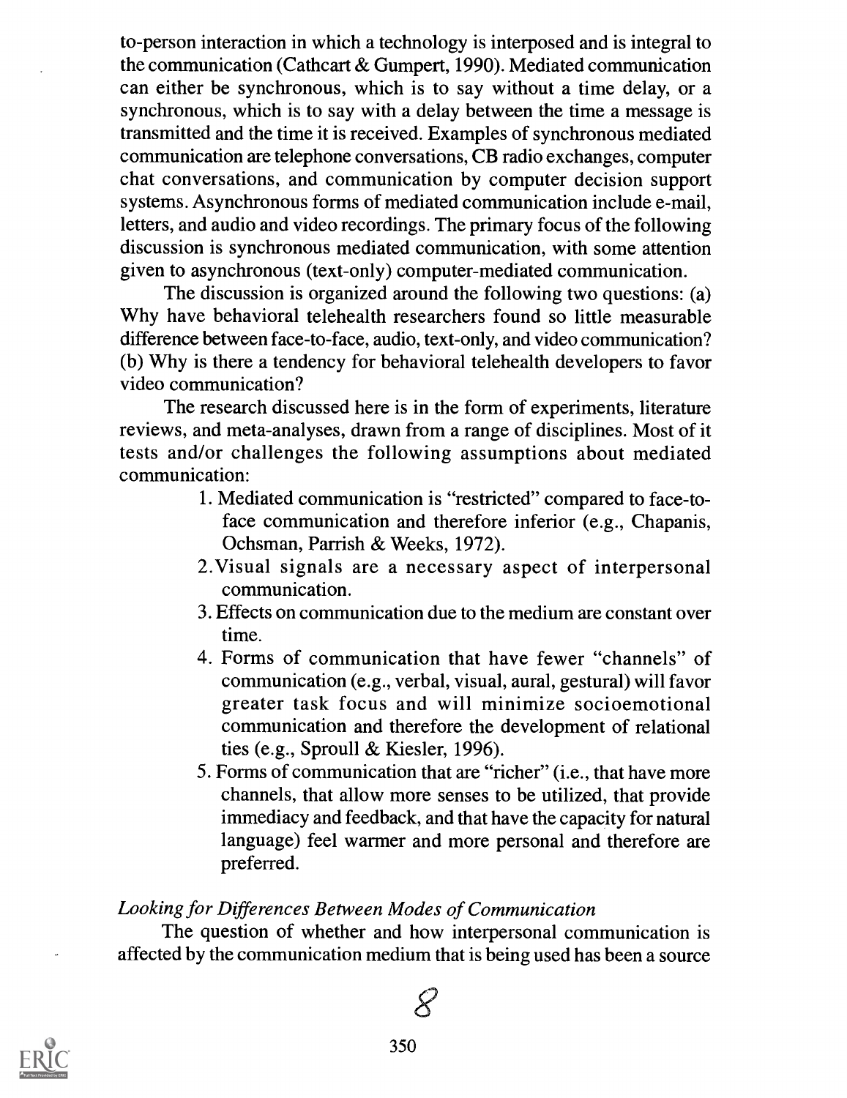to-person interaction in which a technology is interposed and is integral to the communication (Cathcart & Gumpert, 1990). Mediated communication can either be synchronous, which is to say without a time delay, or a synchronous, which is to say with a delay between the time a message is transmitted and the time it is received. Examples of synchronous mediated communication are telephone conversations, CB radio exchanges, computer chat conversations, and communication by computer decision support systems. Asynchronous forms of mediated communication include e-mail, letters, and audio and video recordings. The primary focus of the following discussion is synchronous mediated communication, with some attention given to asynchronous (text-only) computer-mediated communication.

The discussion is organized around the following two questions: (a) Why have behavioral telehealth researchers found so little measurable difference between face-to-face, audio, text-only, and video communication? (b) Why is there a tendency for behavioral telehealth developers to favor video communication?

The research discussed here is in the form of experiments, literature reviews, and meta-analyses, drawn from a range of disciplines. Most of it tests and/or challenges the following assumptions about mediated communication:

- 1. Mediated communication is "restricted" compared to face-toface communication and therefore inferior (e.g., Chapanis, Ochsman, Parrish & Weeks, 1972).
- 2.Visual signals are a necessary aspect of interpersonal communication.
- 3. Effects on communication due to the medium are constant over time.
- 4. Forms of communication that have fewer "channels" of communication (e.g., verbal, visual, aural, gestural) will favor greater task focus and will minimize socioemotional communication and therefore the development of relational ties (e.g., Sproull & Kiesler, 1996).
- 5 Forms of communication that are "richer" (i.e., that have more channels, that allow more senses to be utilized, that provide immediacy and feedback, and that have the capacity for natural language) feel warmer and more personal and therefore are preferred.

#### Looking for Differences Between Modes of Communication

The question of whether and how interpersonal communication is affected by the communication medium that is being used has been a source

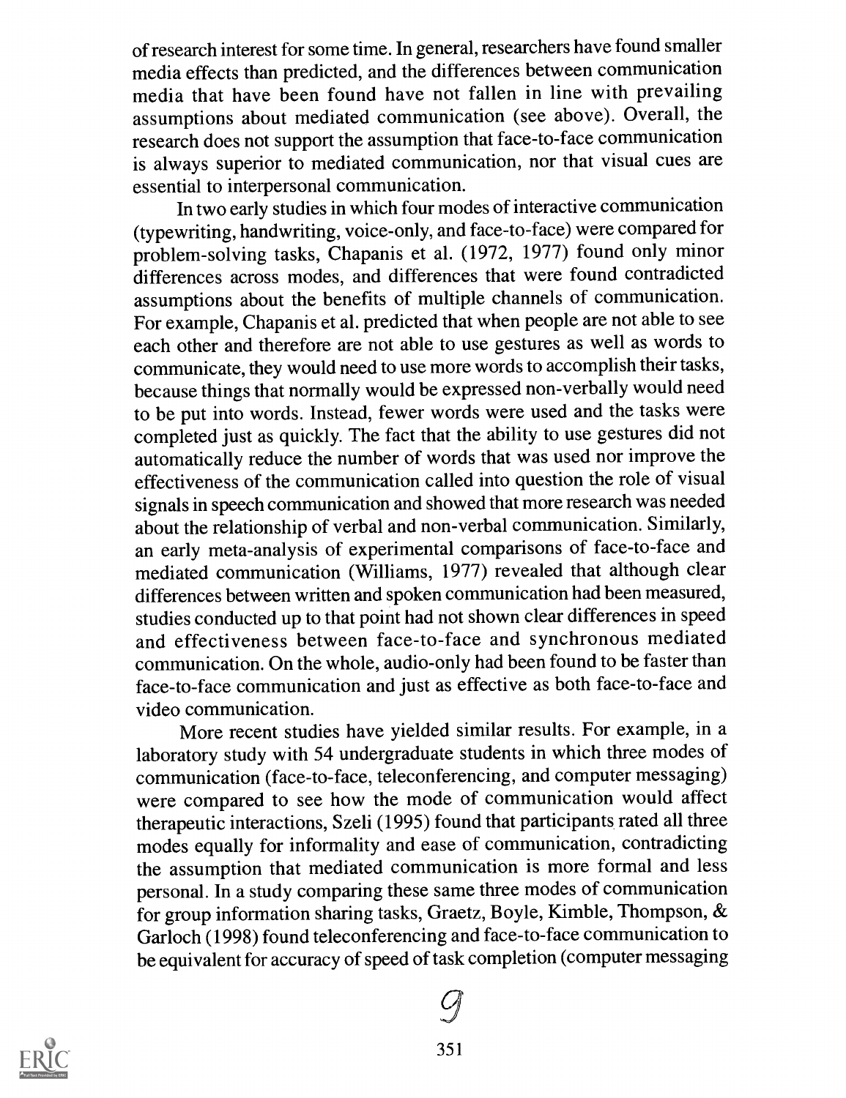of research interest for some time. In general, researchers have found smaller media effects than predicted, and the differences between communication media that have been found have not fallen in line with prevailing assumptions about mediated communication (see above). Overall, the research does not support the assumption that face-to-face communication is always superior to mediated communication, nor that visual cues are essential to interpersonal communication.

In two early studies in which four modes of interactive communication (typewriting, handwriting, voice-only, and face-to-face) were compared for problem-solving tasks, Chapanis et al. (1972, 1977) found only minor differences across modes, and differences that were found contradicted assumptions about the benefits of multiple channels of communication. For example, Chapanis et al. predicted that when people are not able to see each other and therefore are not able to use gestures as well as words to communicate, they would need to use more words to accomplish their tasks, because things that normally would be expressed non-verbally would need to be put into words. Instead, fewer words were used and the tasks were completed just as quickly. The fact that the ability to use gestures did not automatically reduce the number of words that was used nor improve the effectiveness of the communication called into question the role of visual signals in speech communication and showed that more research was needed about the relationship of verbal and non-verbal communication. Similarly, an early meta-analysis of experimental comparisons of face-to-face and mediated communication (Williams, 1977) revealed that although clear differences between written and spoken communication had been measured, studies conducted up to that point had not shown clear differences in speed and effectiveness between face-to-face and synchronous mediated communication. On the whole, audio-only had been found to be faster than face-to-face communication and just as effective as both face-to-face and video communication.

More recent studies have yielded similar results. For example, in a laboratory study with 54 undergraduate students in which three modes of communication (face-to-face, teleconferencing, and computer messaging) were compared to see how the mode of communication would affect therapeutic interactions, Szeli (1995) found that participants rated all three modes equally for informality and ease of communication, contradicting the assumption that mediated communication is more formal and less personal. In a study comparing these same three modes of communication for group information sharing tasks, Graetz, Boyle, Kimble, Thompson, & Garloch (1998) found teleconferencing and face-to-face communication to be equivalent for accuracy of speed of task completion (computer messaging

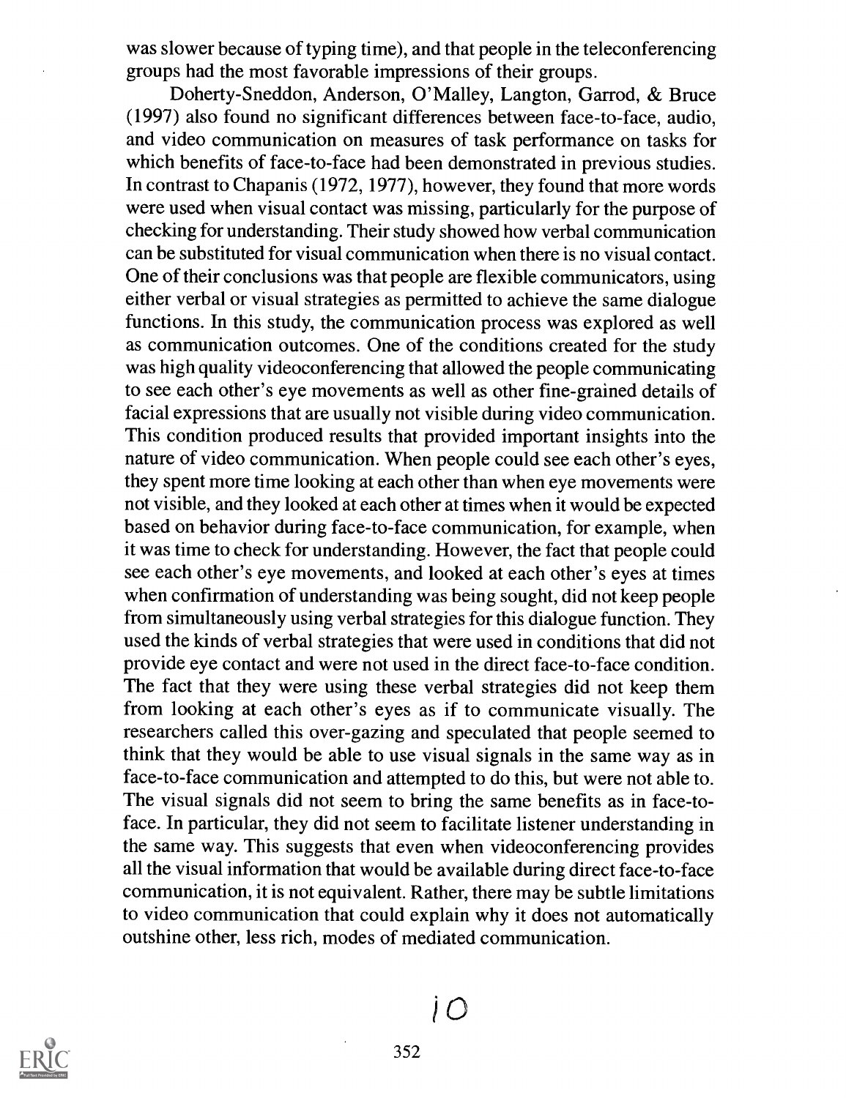was slower because of typing time), and that people in the teleconferencing groups had the most favorable impressions of their groups.

Doherty-Sneddon, Anderson, O'Malley, Langton, Garrod, & Bruce (1997) also found no significant differences between face-to-face, audio, and video communication on measures of task performance on tasks for which benefits of face-to-face had been demonstrated in previous studies. In contrast to Chapanis (1972, 1977), however, they found that more words were used when visual contact was missing, particularly for the purpose of checking for understanding. Their study showed how verbal communication can be substituted for visual communication when there is no visual contact. One of their conclusions was that people are flexible communicators, using either verbal or visual strategies as permitted to achieve the same dialogue functions. In this study, the communication process was explored as well as communication outcomes. One of the conditions created for the study was high quality videoconferencing that allowed the people communicating to see each other's eye movements as well as other fine-grained details of facial expressions that are usually not visible during video communication. This condition produced results that provided important insights into the nature of video communication. When people could see each other's eyes, they spent more time looking at each other than when eye movements were not visible, and they looked at each other at times when it would be expected based on behavior during face-to-face communication, for example, when it was time to check for understanding. However, the fact that people could see each other's eye movements, and looked at each other's eyes at times when confirmation of understanding was being sought, did not keep people from simultaneously using verbal strategies for this dialogue function. They used the kinds of verbal strategies that were used in conditions that did not provide eye contact and were not used in the direct face-to-face condition. The fact that they were using these verbal strategies did not keep them from looking at each other's eyes as if to communicate visually. The researchers called this over-gazing and speculated that people seemed to think that they would be able to use visual signals in the same way as in face-to-face communication and attempted to do this, but were not able to. The visual signals did not seem to bring the same benefits as in face-toface. In particular, they did not seem to facilitate listener understanding in the same way. This suggests that even when videoconferencing provides all the visual information that would be available during direct face-to-face communication, it is not equivalent. Rather, there may be subtle limitations to video communication that could explain why it does not automatically outshine other, less rich, modes of mediated communication.



 $\overline{O}$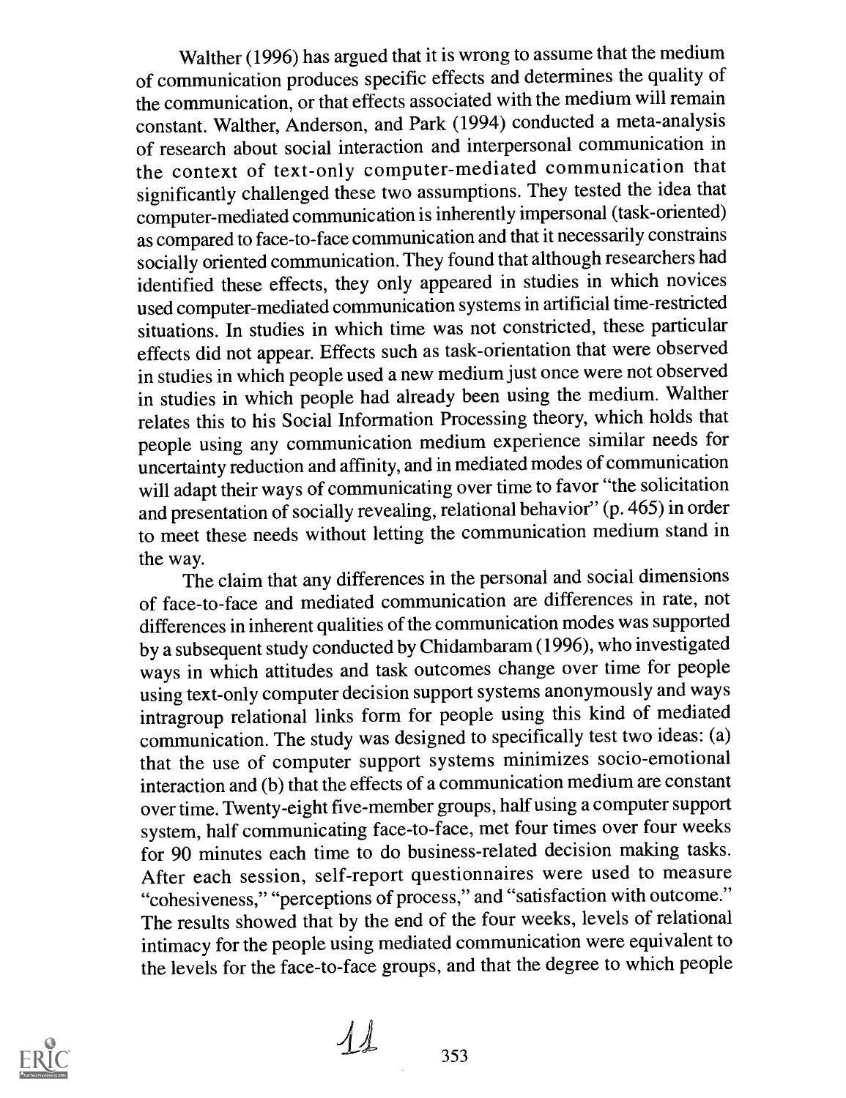Walther (1996) has argued that it is wrong to assume that the medium of communication produces specific effects and determines the quality of the communication, or that effects associated with the medium will remain constant. Walther, Anderson, and Park (1994) conducted a meta-analysis of research about social interaction and interpersonal communication in the context of text-only computer-mediated communication that significantly challenged these two assumptions. They tested the idea that computer-mediated communication is inherently impersonal (task-oriented) as compared to face-to-face communication and that it necessarily constrains socially oriented communication. They found that although researchers had identified these effects, they only appeared in studies in which novices used computer-mediated communication systemsin artificial time-restricted situations. In studies in which time was not constricted, these particular effects did not appear. Effects such as task-orientation that were observed in studies in which people used a new medium just once were not observed in studies in which people had already been using the medium. Walther relates this to his Social Information Processing theory, which holds that people using any communication medium experience similar needs for uncertainty reduction and affinity, and in mediated modes of communication will adapt their ways of communicating over time to favor "the solicitation and presentation of socially revealing, relational behavior" (p. 465) in order to meet these needs without letting the communication medium stand in the way.

The claim that any differences in the personal and social dimensions of face-to-face and mediated communication are differences in rate, not differences in inherent qualities of the communication modes was supported by a subsequent study conducted by Chidambaram(1996), who investigated ways in which attitudes and task outcomes change over time for people using text-only computer decision support systems anonymously and ways intragroup relational links form for people using this kind of mediated communication. The study was designed to specifically test two ideas: (a) that the use of computer support systems minimizes socio-emotional interaction and (b) that the effects of a communication medium are constant over time. Twenty-eight five-member groups, half using a computer support system, half communicating face-to-face, met four times over four weeks for 90 minutes each time to do business-related decision making tasks. After each session, self-report questionnaires were used to measure "cohesiveness," "perceptions of process," and "satisfaction with outcome." The results showed that by the end of the four weeks, levels of relational intimacy for the people using mediated communication were equivalent to the levels for the face-to-face groups, and that the degree to which people



 $11$  353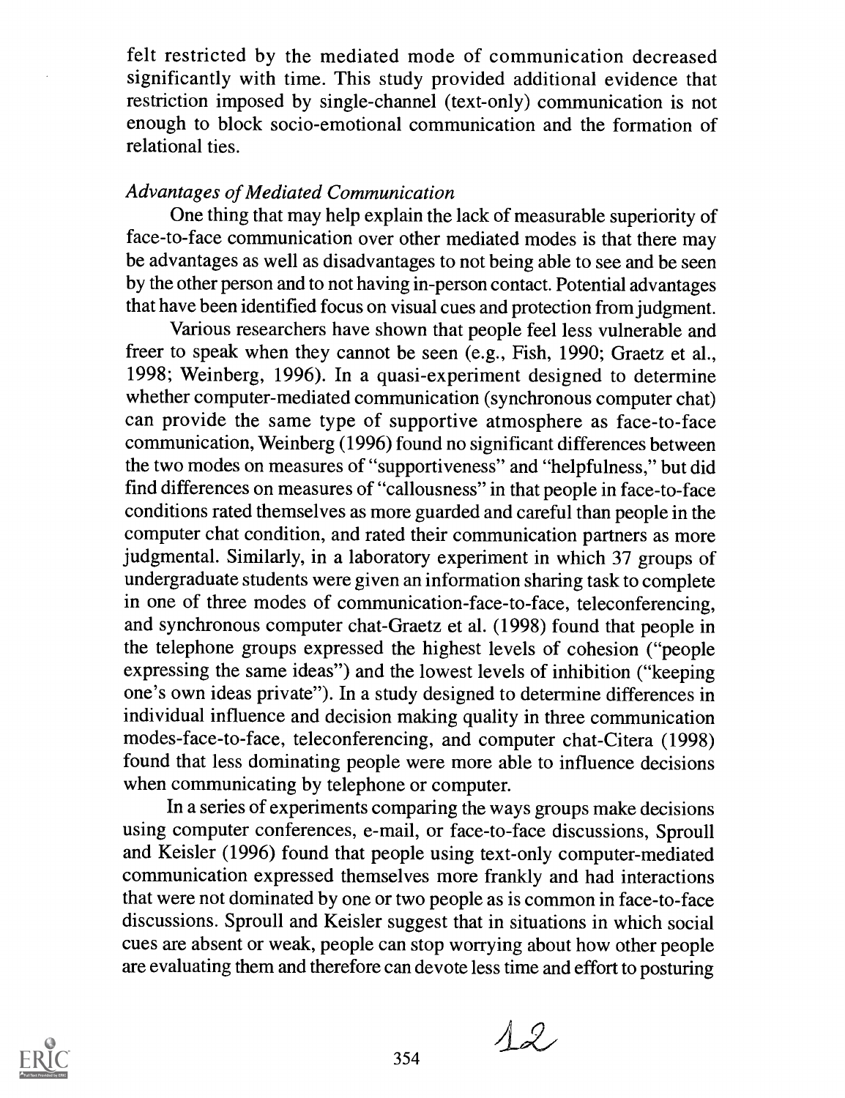felt restricted by the mediated mode of communication decreased significantly with time. This study provided additional evidence that restriction imposed by single-channel (text-only) communication is not enough to block socio-emotional communication and the formation of relational ties.

#### Advantages of Mediated Communication

One thing that may help explain the lack of measurable superiority of face-to-face communication over other mediated modes is that there may be advantages as well as disadvantages to not being able to see and be seen by the other person and to not having in-person contact. Potential advantages that have been identified focus on visual cues and protection from judgment.

Various researchers have shown that people feel less vulnerable and freer to speak when they cannot be seen (e.g., Fish, 1990; Graetz et al., 1998; Weinberg, 1996). In a quasi-experiment designed to determine whether computer-mediated communication (synchronous computer chat) can provide the same type of supportive atmosphere as face-to-face communication, Weinberg (1996) found no significant differences between the two modes on measures of "supportiveness" and "helpfulness," but did find differences on measures of "callousness" in that people in face-to-face conditions rated themselves as more guarded and careful than people in the computer chat condition, and rated their communication partners as more judgmental. Similarly, in a laboratory experiment in which 37 groups of undergraduate students were given an information sharing task to complete in one of three modes of communication-face-to-face, teleconferencing, and synchronous computer chat-Graetz et al. (1998) found that people in the telephone groups expressed the highest levels of cohesion ("people expressing the same ideas") and the lowest levels of inhibition ("keeping one's own ideas private"). In a study designed to determine differences in individual influence and decision making quality in three communication modes-face-to-face, teleconferencing, and computer chat-Citera (1998) found that less dominating people were more able to influence decisions when communicating by telephone or computer.

In a series of experiments comparing the ways groups make decisions using computer conferences, e-mail, or face-to-face discussions, Sproull and Keisler (1996) found that people using text-only computer-mediated communication expressed themselves more frankly and had interactions that were not dominated by one or two people as is common in face-to-face discussions. Sproull and Keisler suggest that in situations in which social cues are absent or weak, people can stop worrying about how other people are evaluating them and therefore can devote less time and effort to posturing



 $12$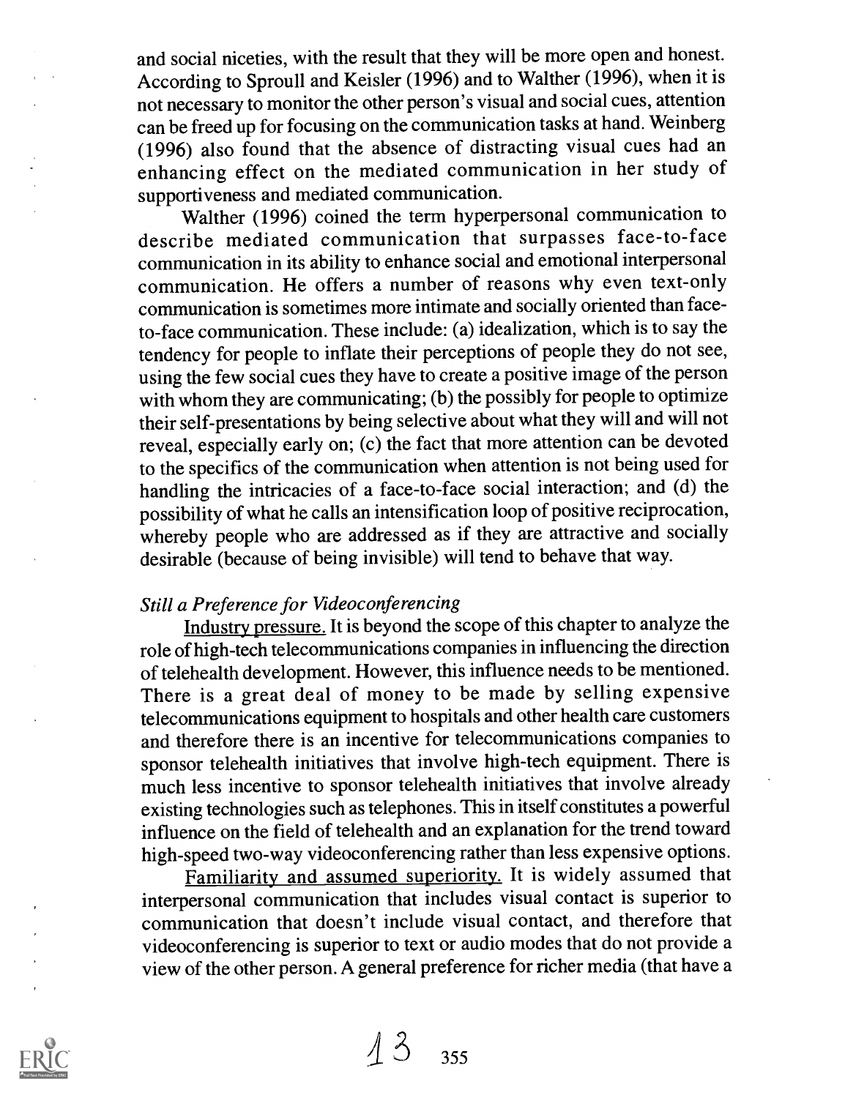and social niceties, with the result that they will be more open and honest. According to Sproull and Keisler (1996) and to Walther (1996), when it is not necessary to monitor the other person's visual and social cues, attention can be freed up for focusing on the communication tasks at hand. Weinberg (1996) also found that the absence of distracting visual cues had an enhancing effect on the mediated communication in her study of supportiveness and mediated communication.

Walther (1996) coined the term hyperpersonal communication to describe mediated communication that surpasses face-to-face communication in its ability to enhance social and emotional interpersonal communication. He offers a number of reasons why even text-only communication is sometimes more intimate and socially oriented than faceto-face communication. These include: (a) idealization, which is to say the tendency for people to inflate their perceptions of people they do not see, using the few social cues they have to create a positive image of the person with whom they are communicating; (b) the possibly for people to optimize their self-presentations by being selective about what they will and will not reveal, especially early on; (c) the fact that more attention can be devoted to the specifics of the communication when attention is not being used for handling the intricacies of a face-to-face social interaction; and (d) the possibility of what he calls an intensification loop of positive reciprocation, whereby people who are addressed as if they are attractive and socially desirable (because of being invisible) will tend to behave that way.

#### Still a Preference for Videoconferencing

Industry pressure. It is beyond the scope of this chapter to analyze the role of high-tech telecommunications companies in influencing the direction of telehealth development. However, this influence needs to be mentioned. There is a great deal of money to be made by selling expensive telecommunications equipment to hospitals and other health care customers and therefore there is an incentive for telecommunications companies to sponsor telehealth initiatives that involve high-tech equipment. There is much less incentive to sponsor telehealth initiatives that involve already existing technologies such as telephones. This in itself constitutes a powerful influence on the field of telehealth and an explanation for the trend toward high-speed two-way videoconferencing rather than less expensive options.

Familiarity and assumed superiority. It is widely assumed that interpersonal communication that includes visual contact is superior to communication that doesn't include visual contact, and therefore that videoconferencing is superior to text or audio modes that do not provide a view of the other person. A general preference for richer media (that have a

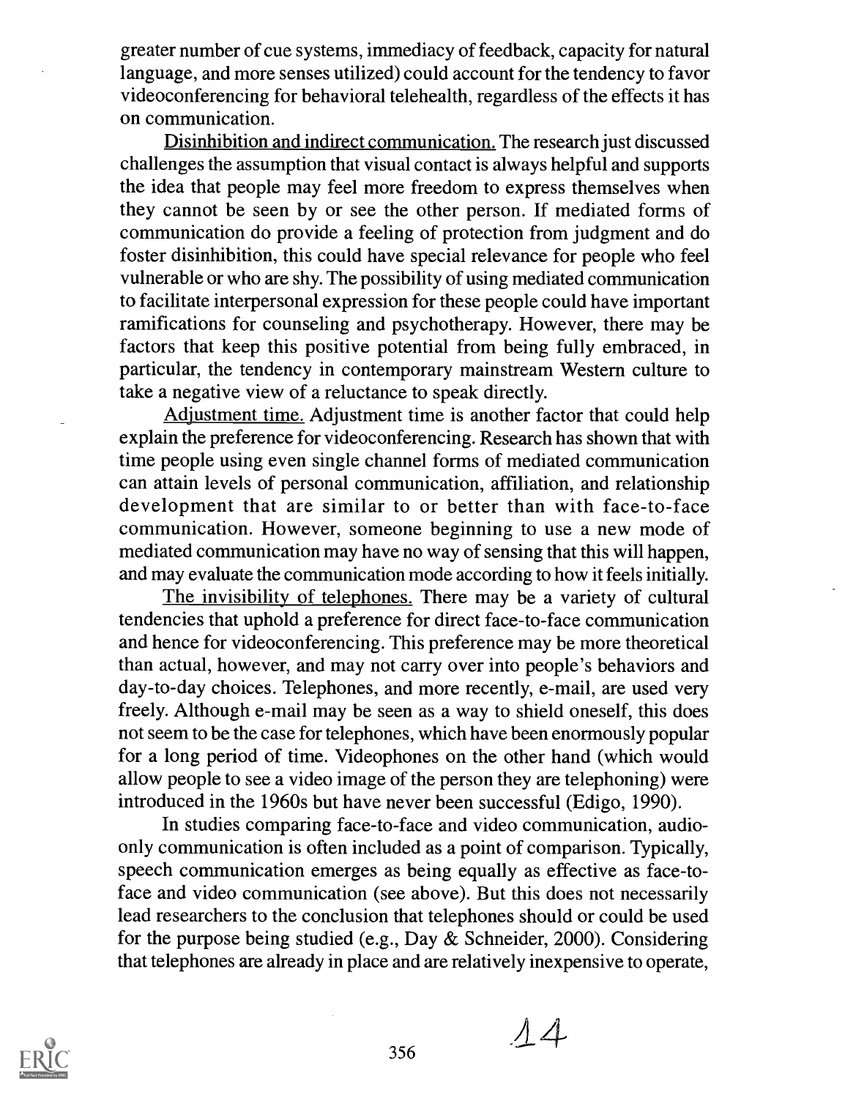greater number of cue systems, immediacy of feedback, capacity for natural language, and more senses utilized) could account for the tendency to favor videoconferencing for behavioral telehealth, regardless of the effects it has on communication.

Disinhibition and indirect communication. The research just discussed challenges the assumption that visual contact is always helpful and supports the idea that people may feel more freedom to express themselves when they cannot be seen by or see the other person. If mediated forms of communication do provide a feeling of protection from judgment and do foster disinhibition, this could have special relevance for people who feel vulnerable or who are shy. The possibility of using mediated communication to facilitate interpersonal expression for these people could have important ramifications for counseling and psychotherapy. However, there may be factors that keep this positive potential from being fully embraced, in particular, the tendency in contemporary mainstream Western culture to take a negative view of a reluctance to speak directly.

Adjustment time. Adjustment time is another factor that could help explain the preference for videoconferencing. Research has shown that with time people using even single channel forms of mediated communication can attain levels of personal communication, affiliation, and relationship development that are similar to or better than with face-to-face communication. However, someone beginning to use a new mode of mediated communication may have no way of sensing that this will happen, and may evaluate the communication mode according to how it feels initially.

The invisibility of telephones. There may be a variety of cultural tendencies that uphold a preference for direct face-to-face communication and hence for videoconferencing. This preference may be more theoretical than actual, however, and may not carry over into people's behaviors and day-to-day choices. Telephones, and more recently, e-mail, are used very freely. Although e-mail may be seen as a way to shield oneself, this does not seem to be the case for telephones, which have been enormously popular for a long period of time. Videophones on the other hand (which would allow people to see a video image of the person they are telephoning) were introduced in the 1960s but have never been successful (Edigo, 1990).

In studies comparing face-to-face and video communication, audioonly communication is often included as a point of comparison. Typically, speech communication emerges as being equally as effective as face-toface and video communication (see above). But this does not necessarily lead researchers to the conclusion that telephones should or could be used for the purpose being studied (e.g., Day & Schneider, 2000). Considering that telephones are already in place and are relatively inexpensive to operate,



 $\frac{1}{356}$   $\frac{1}{4}$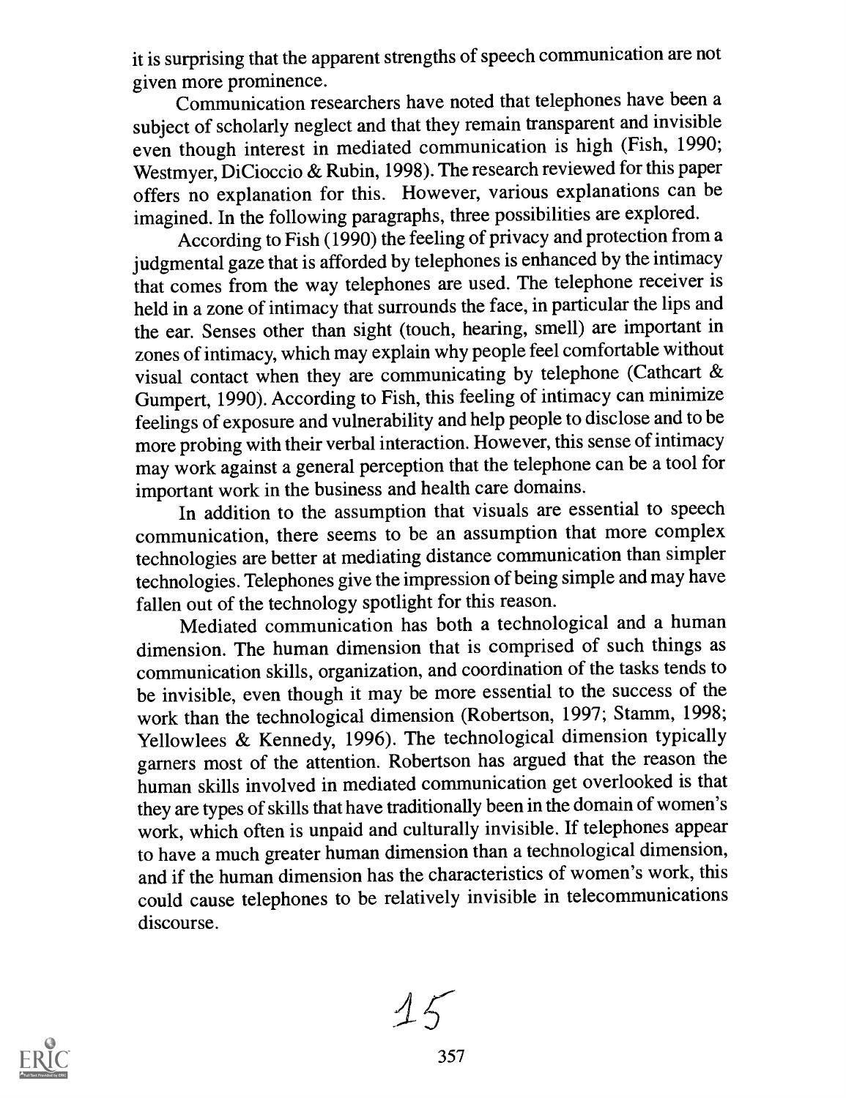it is surprising that the apparent strengths of speech communication are not given more prominence.

Communication researchers have noted that telephones have been a subject of scholarly neglect and that they remain transparent and invisible even though interest in mediated communication is high (Fish, 1990; Westmyer, DiCioccio & Rubin, 1998). The research reviewed for this paper offers no explanation for this. However, various explanations can be imagined. In the following paragraphs, three possibilities are explored.

According to Fish (1990) the feeling of privacy and protection from a judgmental gaze that is afforded by telephones is enhanced by the intimacy that comes from the way telephones are used. The telephone receiver is held in a zone of intimacy that surrounds the face, in particular the lips and the ear. Senses other than sight (touch, hearing, smell) are important in zones of intimacy, which may explain why people feel comfortable without visual contact when they are communicating by telephone (Cathcart & Gumpert, 1990). According to Fish, this feeling of intimacy can minimize feelings of exposure and vulnerability and help people to disclose and to be more probing with their verbal interaction. However, this sense of intimacy may work against a general perception that the telephone can be a tool for important work in the business and health care domains.

In addition to the assumption that visuals are essential to speech communication, there seems to be an assumption that more complex technologies are better at mediating distance communication than simpler technologies. Telephones give the impression of being simple and may have fallen out of the technology spotlight for this reason.

Mediated communication has both a technological and a human dimension. The human dimension that is comprised of such things as communication skills, organization, and coordination of the tasks tends to be invisible, even though it may be more essential to the success of the work than the technological dimension (Robertson, 1997; Stamm, 1998; Yellowlees & Kennedy, 1996). The technological dimension typically garners most of the attention. Robertson has argued that the reason the human skills involved in mediated communication get overlooked is that they are types of skills that have traditionally been in the domain of women's work, which often is unpaid and culturally invisible. If telephones appear to have a much greater human dimension than a technological dimension, and if the human dimension has the characteristics of women's work, this could cause telephones to be relatively invisible in telecommunications discourse.



 $15$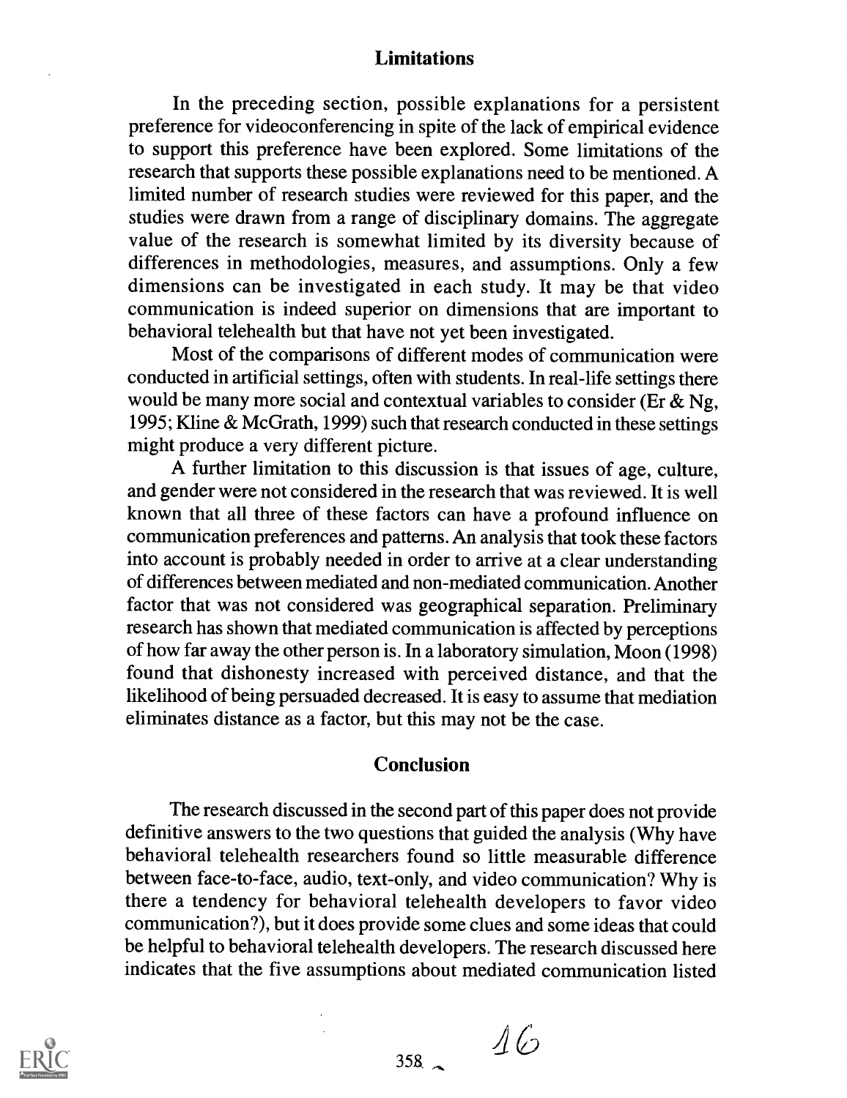#### Limitations

In the preceding section, possible explanations for a persistent preference for videoconferencing in spite of the lack of empirical evidence to support this preference have been explored. Some limitations of the research that supports these possible explanations need to be mentioned. A liniited number of research studies were reviewed for this paper, and the studies were drawn from a range of disciplinary domains. The aggregate value of the research is somewhat limited by its diversity because of differences in methodologies, measures, and assumptions. Only a few dimensions can be investigated in each study. It may be that video communication is indeed superior on dimensions that are important to behavioral telehealth but that have not yet been investigated.

Most of the comparisons of different modes of communication were conducted in artificial settings, often with students. In real-life settings there would be many more social and contextual variables to consider (Er  $\&$  Ng, 1995; Kline & McGrath, 1999) such that research conducted in these settings might produce a very different picture.

A further limitation to this discussion is that issues of age, culture, and gender were not considered in the research that was reviewed. It is well known that all three of these factors can have a profound influence on communication preferences and patterns. An analysis that took these factors into account is probably needed in order to arrive at a clear understanding of differences between mediated and non-mediated communication. Another factor that was not considered was geographical separation. Preliminary research has shown that mediated communication is affected by perceptions of how far away the other person is. In a laboratory simulation, Moon (1998) found that dishonesty increased with perceived distance, and that the likelihood of being persuaded decreased. It is easy to assume that mediation eliminates distance as a factor, but this may not be the case.

#### Conclusion

The research discussed in the second part of this paper does not provide definitive answers to the two questions that guided the analysis (Why have behavioral telehealth researchers found so little measurable difference between face-to-face, audio, text-only, and video communication? Why is there a tendency for behavioral telehealth developers to favor video communication?), but it does provide some clues and some ideas that could be helpful to behavioral telehealth developers. The research discussed here indicates that the five assumptions about mediated communication listed



 $\frac{16}{100}$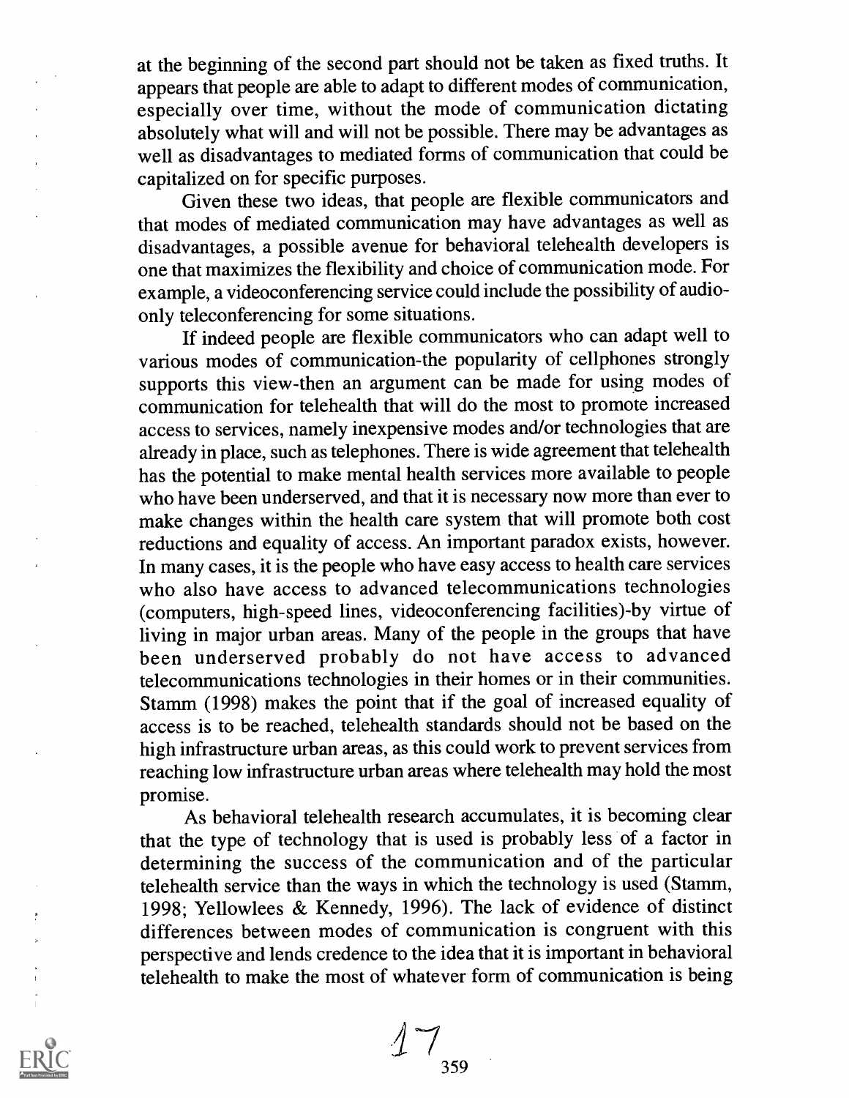at the beginning of the second part should not be taken as fixed truths. It appears that people are able to adapt to different modes of communication, especially over time, without the mode of communication dictating absolutely what will and will not be possible. There may be advantages as well as disadvantages to mediated forms of communication that could be capitalized on for specific purposes.

Given these two ideas, that people are flexible communicators and that modes of mediated communication may have advantages as well as disadvantages, a possible avenue for behavioral telehealth developers is one that maximizes the flexibility and choice of communication mode. For example, a videoconferencing service could include the possibility of audioonly teleconferencing for some situations.

If indeed people are flexible communicators who can adapt well to various modes of communication-the popularity of cellphones strongly supports this view-then an argument can be made for using modes of communication for telehealth that will do the most to promote increased access to services, namely inexpensive modes and/or technologies that are already in place, such as telephones. There is wide agreement that telehealth has the potential to make mental health services more available to people who have been underserved, and that it is necessary now more than ever to make changes within the health care system that will promote both cost reductions and equality of access. An important paradox exists, however. In many cases, it is the people who have easy access to health care services who also have access to advanced telecommunications technologies (computers, high-speed lines, videoconferencing facilities)-by virtue of living in major urban areas. Many of the people in the groups that have been underserved probably do not have access to advanced telecommunications technologies in their homes or in their communities. Stamm (1998) makes the point that if the goal of increased equality of access is to be reached, telehealth standards should not be based on the high infrastructure urban areas, as this could work to prevent services from reaching low infrastructure urban areas where telehealth may hold the most promise.

As behavioral telehealth research accumulates, it is becoming clear that the type of technology that is used is probably less of a factor in determining the success of the communication and of the particular telehealth service than the ways in which the technology is used (Stamm, 1998; Yellowlees & Kennedy, 1996). The lack of evidence of distinct differences between modes of communication is congruent with this perspective and lends credence to the idea that it is important in behavioral telehealth to make the most of whatever form of communication is being



 $\ddot{\cdot}$ 

 $17_{359}$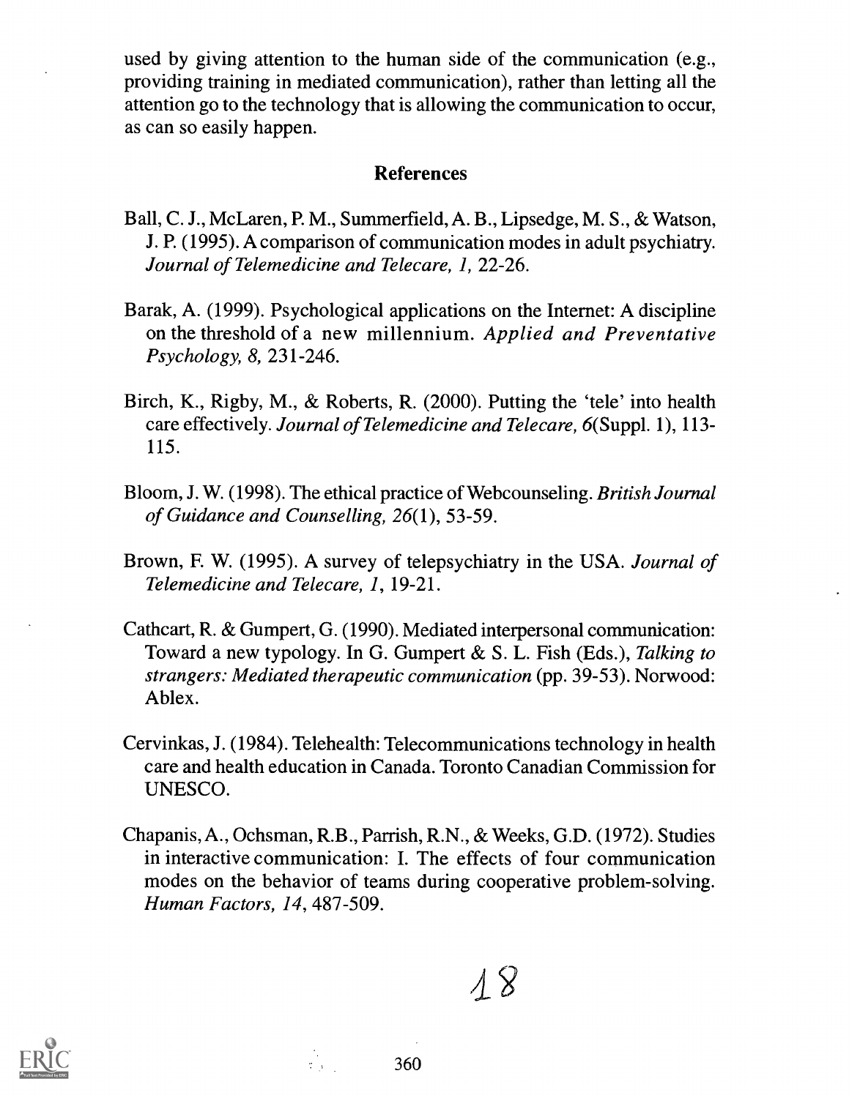used by giving attention to the human side of the communication (e.g., providing training in mediated communication), rather than letting all the attention go to the technology that is allowing the communication to occur, as can so easily happen.

#### References

- Ball, C. J., McLaren, P. M., Summerfield, A. B., Lipsedge, M. S., & Watson, J. P. (1995). A comparison of communication modes in adult psychiatry. Journal of Telemedicine and Telecare, I, 22-26.
- Barak, A. (1999). Psychological applications on the Internet: A discipline on the threshold of a new millennium. Applied and Preventative Psychology, 8, 231-246.
- Birch, K., Rigby, M., & Roberts, R. (2000). Putting the 'tele' into health care effectively. Journal of Telemedicine and Telecare, 6(Suppl. 1), 113- 115.
- Bloom, J. W. (1998). The ethical practice of Webcounseling. British Journal of Guidance and Counselling, 26(1), 53-59.
- Brown, F. W. (1995). A survey of telepsychiatry in the USA. Journal of Telemedicine and Telecare, 1, 19-21.
- Cathcart, R. & Gumpert, G. (1990). Mediated interpersonal communication: Toward a new typology. In G. Gumpert & S. L. Fish (Eds.), Talking to strangers: Mediated therapeutic communication (pp. 39-53). Norwood: Ablex.
- Cervinkas, J. (1984). Telehealth: Telecommunications technology in health care and health education in Canada. Toronto Canadian Commission for UNESCO.
- Chapanis, A., Ochsman, R.B., Parrish, R.N., & Weeks, G.D. (1972). Studies in interactive communication: I. The effects of four communication modes on the behavior of teams during cooperative problem-solving. Human Factors, 14, 487-509.

 $\lambda$   $8$ 



360

 $\frac{1}{2}$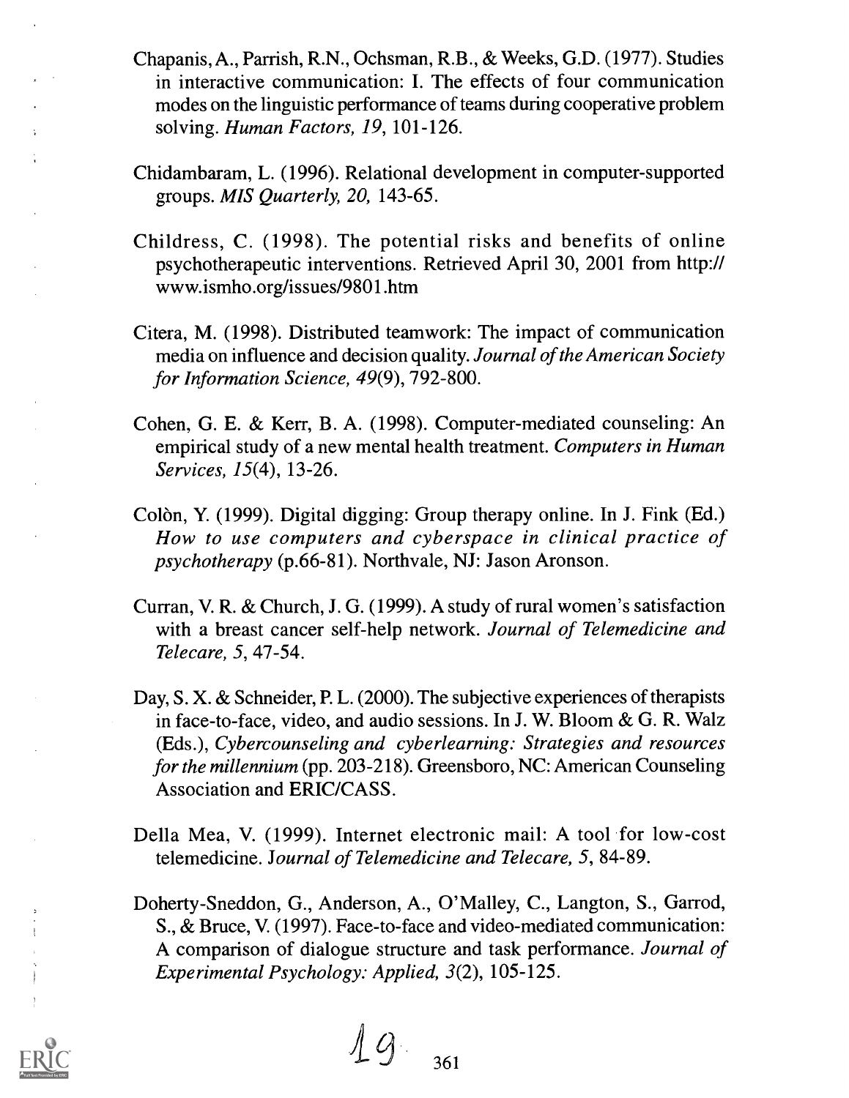- Chapanis, A., Parrish, R.N., Ochsman, R.B., & Weeks, G.D. (1977). Studies in interactive communication: I. The effects of four communication modes on the linguistic performance of teams during cooperative problem solving. Human Factors, 19, 101-126.
- Chidambaram, L. (1996). Relational development in computer-supported groups. MIS Quarterly, 20, 143-65.
- Childress, C. (1998). The potential risks and benefits of online psychotherapeutic interventions. Retrieved April 30, 2001 from http:// www.ismho.org/issues/9801.htm
- Citera, M. (1998). Distributed teamwork: The impact of communication media on influence and decision quality. Journal of the American Society for Information Science, 49(9), 792-800.
- Cohen, G. E. & Kerr, B. A. (1998). Computer-mediated counseling: An empirical study of a new mental health treatment. Computers in Human Services, 15(4), 13-26.
- Colòn, Y. (1999). Digital digging: Group therapy online. In J. Fink (Ed.) How to use computers and cyberspace in clinical practice of psychotherapy (p.66-81). Northvale, NJ: Jason Aronson.
- Curran, V. R. & Church, J. G. (1999). A study of rural women's satisfaction with a breast cancer self-help network. Journal of Telemedicine and Telecare, 5, 47-54.
- Day, S. X. & Schneider, P. L. (2000). The subjective experiences of therapists in face-to-face, video, and audio sessions. In J. W. Bloom & G. R. Walz (Eds.), Cybercounseling and cyberlearning: Strategies and resources for the millennium (pp. 203-218). Greensboro, NC: American Counseling Association and ERIC/CASS.
- Della Mea, V. (1999). Internet electronic mail: A tool for low-cost telemedicine. Journal of Telemedicine and Telecare, 5, 84-89.
- Doherty-Sneddon, G., Anderson, A., O'Malley, C., Langton, S., Garrod, S., & Bruce, V. (1997). Face-to-face and video-mediated communication: A comparison of dialogue structure and task performance. Journal of Experimental Psychology: Applied, 3(2), 105-125.

g361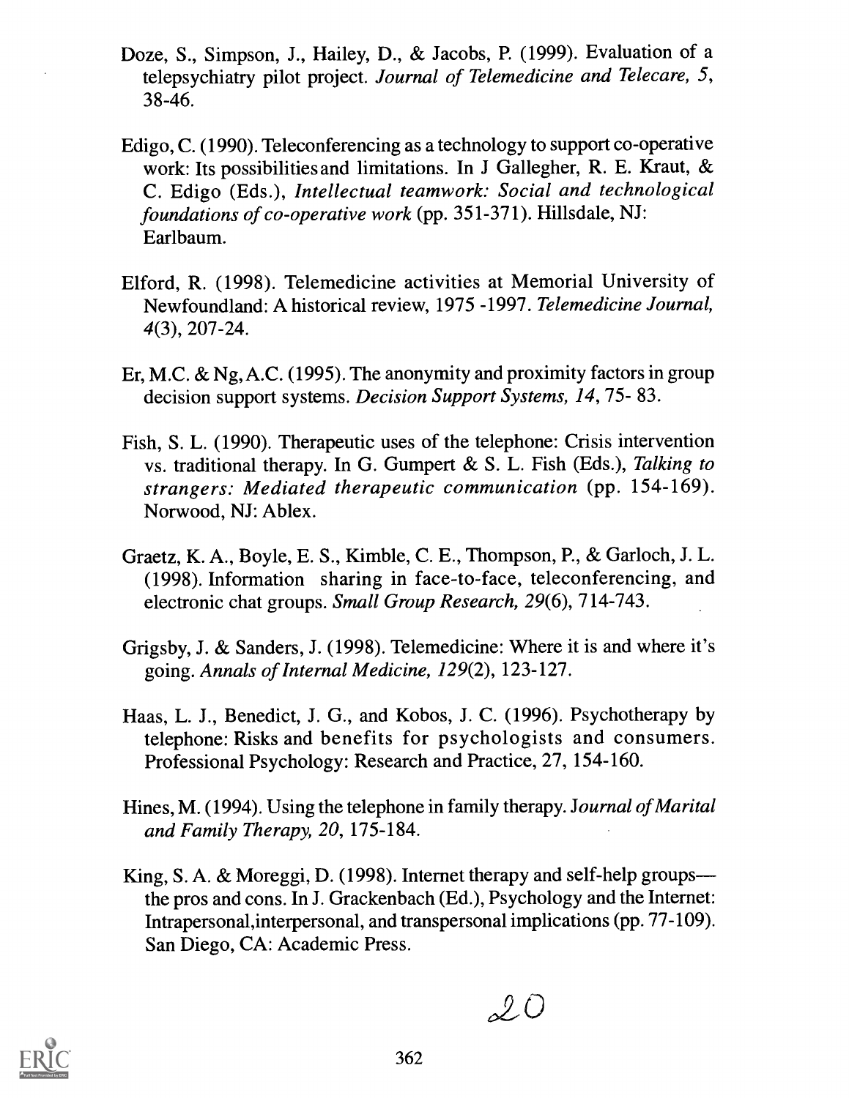- Doze, S., Simpson, J., Hailey, D., & Jacobs, P. (1999). Evaluation of a telepsychiatry pilot project. Journal of Telemedicine and Telecare, 5, 38-46.
- Edigo, C. (1990). Teleconferencing as a technology to support co-operative work: Its possibilities and limitations. In J Gallegher, R. E. Kraut, & C. Edigo (Eds.), Intellectual teamwork: Social and technological foundations of co-operative work (pp. 351-371). Hillsdale, NJ: Earlbaum.
- Elford, R. (1998). Telemedicine activities at Memorial University of Newfoundland: A historical review, 1975 -1997. Telemedicine Journal, 4(3), 207-24.
- Er, M.C. & Ng, A.C. (1995). The anonymity and proximity factors in group decision support systems. *Decision Support Systems*, 14, 75-83.
- Fish, S. L. (1990). Therapeutic uses of the telephone: Crisis intervention vs. traditional therapy. In G. Gumpert & S. L. Fish (Eds.), Talking to strangers: Mediated therapeutic communication (pp. 154-169). Norwood, NJ: Ablex.
- Graetz, K. A., Boyle, E. S., Kimble, C. E., Thompson, P. , & Garloch, J. L. (1998). Information sharing in face-to-face, teleconferencing, and electronic chat groups. Small Group Research, 29(6), 714-743.
- Grigsby, J. & Sanders, J. (1998). Telemedicine: Where it is and where it's going. Annals of Internal Medicine, 129(2), 123-127.
- Haas, L. J., Benedict, J. G., and Kobos, J. C. (1996). Psychotherapy by telephone: Risks and benefits for psychologists and consumers. Professional Psychology: Research and Practice, 27, 154-160.
- Hines, M. (1994). Using the telephone in family therapy. Journal of Marital and Family Therapy, 20, 175-184.
- King, S. A. & Moreggi, D. (1998). Internet therapy and self-help groups the pros and cons. In J. Grackenbach (Ed.), Psychology and the Internet: Intrapersonal,interpersonal, and transpersonal implications (pp. 77-109). San Diego, CA: Academic Press.

 $20$ 

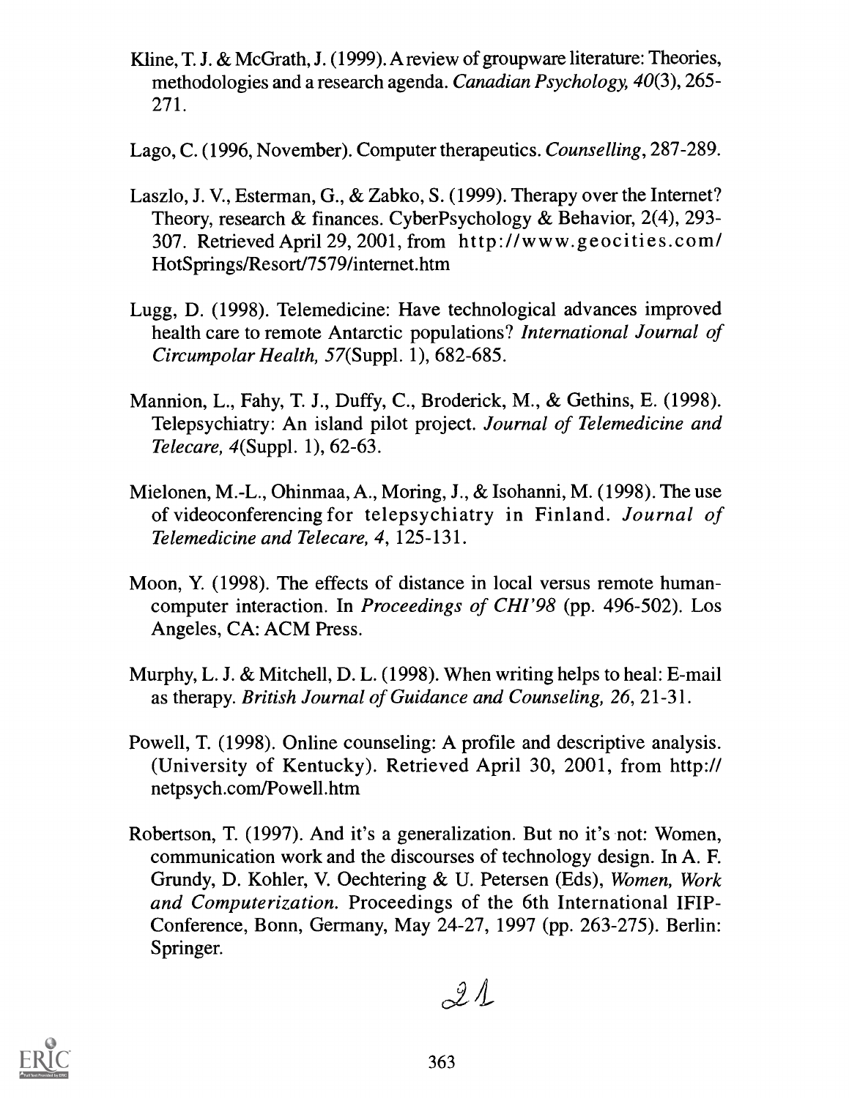- Kline, T. J. & McGrath, J. (1999). A review of groupware literature: Theories, methodologies and a research agenda. Canadian Psychology, 40(3), 265- 271.
- Lago, C. (1996, November). Computer therapeutics. Counselling, 287-289.
- Laszlo, J. V., Esterman, G., & Zabko, S. (1999). Therapy over the Internet? Theory, research & finances. CyberPsychology & Behavior, 2(4), 293-307. Retrieved April 29, 2001, from http://www.geocities.com/ HotSprings/Resort/7579/internet.htm
- Lugg, D. (1998). Telemedicine: Have technological advances improved health care to remote Antarctic populations? International Journal of Circumpolar Health, 57(Suppl. 1), 682-685.
- Mannion, L., Fahy, T. J., Duffy, C., Broderick, M., & Gethins, E. (1998). Telepsychiatry: An island pilot project. Journal of Telemedicine and Telecare, 4(Suppl. 1), 62-63.
- Mielonen, M.-L., Ohinmaa, A., Moring, J., & Isohanni, M. (1998). The use of videoconferencing for telepsychiatry in Finland. Journal of Telemedicine and Telecare, 4, 125-131.
- Moon, Y. (1998). The effects of distance in local versus remote humancomputer interaction. In Proceedings of CHI'98 (pp. 496-502). Los Angeles, CA: ACM Press.
- Murphy, L. J. & Mitchell, D. L. (1998). When writing helps to heal: E-mail as therapy. British Journal of Guidance and Counseling, 26, 21-31.
- Powell, T. (1998). Online counseling: A profile and descriptive analysis. (University of Kentucky). Retrieved April 30, 2001, from http:// netpsych.com/Powell.htm
- Robertson, T. (1997). And it's a generalization. But no it's not: Women, communication work and the discourses of technology design. In A. F. Grundy, D. Kohler, V. Oechtering & U. Petersen (Eds), Women, Work and Computerization. Proceedings of the 6th International IFIP-Conference, Bonn, Germany, May 24-27, 1997 (pp. 263-275). Berlin: Springer.

 $21$ 

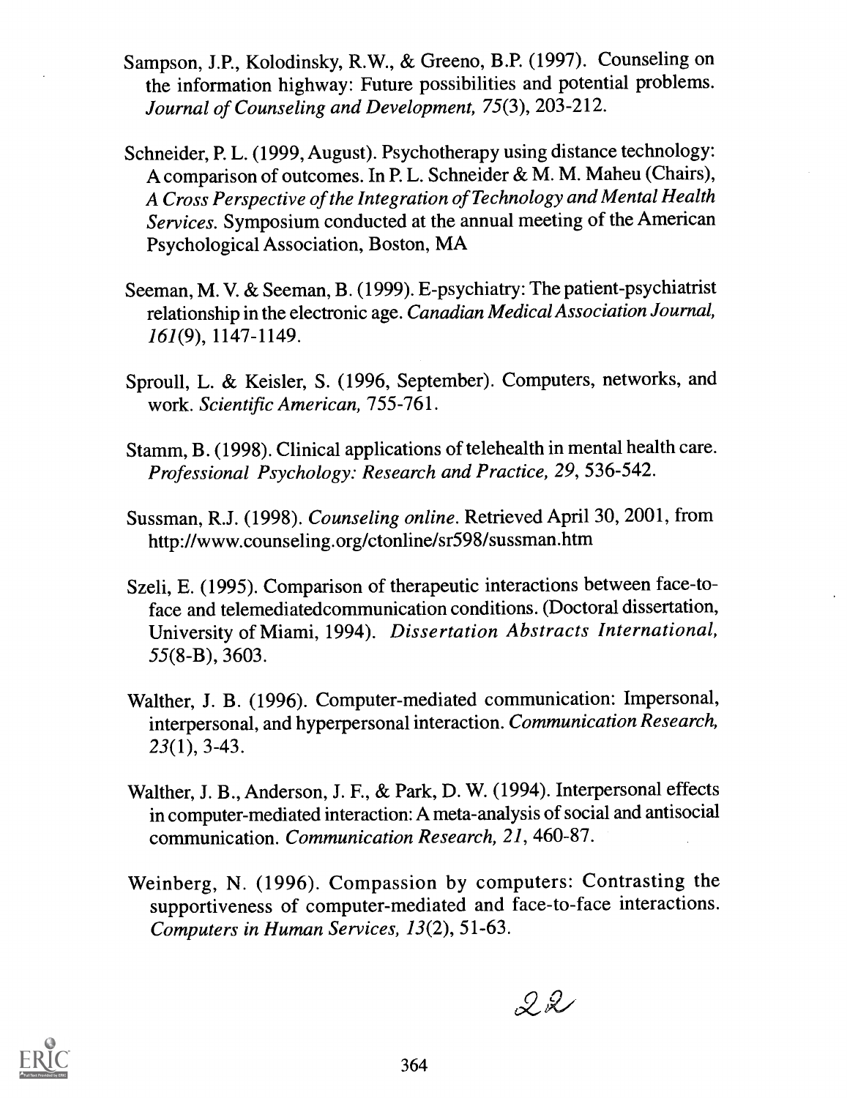- Sampson, J.P., Kolodinsky, R.W., & Greeno, B.P. (1997). Counseling on the information highway: Future possibilities and potential problems. Journal of Counseling and Development, 75(3), 203-212.
- Schneider, P. L. (1999, August). Psychotherapy using distance technology: A comparison of outcomes. In P. L. Schneider & M. M. Maheu (Chairs), A Cross Perspective of the Integration of Technology and Mental Health Services. Symposium conducted at the annual meeting of the American Psychological Association, Boston, MA
- Seeman, M. V. & Seeman, B. (1999). E-psychiatry: The patient-psychiatrist relationship in the electronic age. Canadian Medical Association Journal, 161(9), 1147-1149.
- Sproull, L. & Keisler, S. (1996, September). Computers, networks, and work. Scientific American, 755-761.
- Stamm, B. (1998). Clinical applications of telehealth in mental health care. Professional Psychology: Research and Practice, 29, 536-542.
- Sussman, R.J. (1998). Counseling online. Retrieved April 30, 2001, from http://www.counseling.org/ctonline/sr598/sussman.htm
- Szeli, E. (1995). Comparison of therapeutic interactions between face-toface and telemediatedcommunication conditions. (Doctoral dissertation, University of Miami, 1994). Dissertation Abstracts International, 55(8-B), 3603.
- Walther, J. B. (1996). Computer-mediated communication: Impersonal, interpersonal, and hyperpersonal interaction. Communication Research, 23(1), 3-43.
- Walther, J. B., Anderson, J. F., & Park, D. W. (1994). Interpersonal effects in computer-mediated interaction: A meta-analysis of social and antisocial communication. Communication Research, 21, 460-87.
- Weinberg, N. (1996). Compassion by computers: Contrasting the supportiveness of computer-mediated and face-to-face interactions. Computers in Human Services, 13(2), 51-63.

 $22$ 

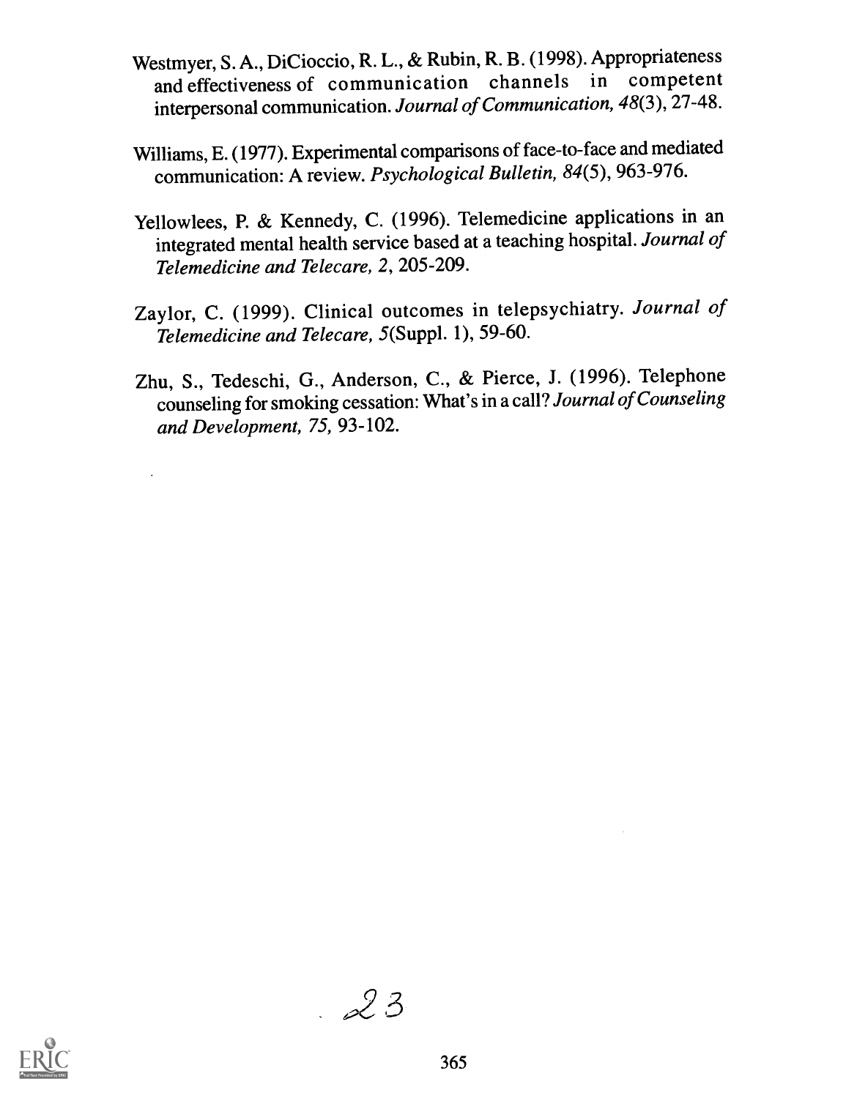- Westmyer, S. A., DiCioccio, R. L., & Rubin, R. B. (1998). Appropriateness and effectiveness of communication channels in competent interpersonal communication. Journal of Communication, 48(3), 27-48.
- Williams, E. (1977). Experimental comparisons of face-to-face and mediated communication: A review. Psychological Bulletin, 84(5), 963-976.
- Yellowlees, P. & Kennedy, C. (1996). Telemedicine applications in an integrated mental health service based at a teaching hospital. Journal of Telemedicine and Telecare, 2, 205-209.
- Zaylor, C. (1999). Clinical outcomes in telepsychiatry. Journal of Telemedicine and Telecare, 5(Suppl. 1), 59-60.
- Zhu, S., Tedeschi, G., Anderson, C., & Pierce, J. (1996). Telephone counseling for smoking cessation: What's in a call? Journal of Counseling and Development, 75, 93-102.



 $23$